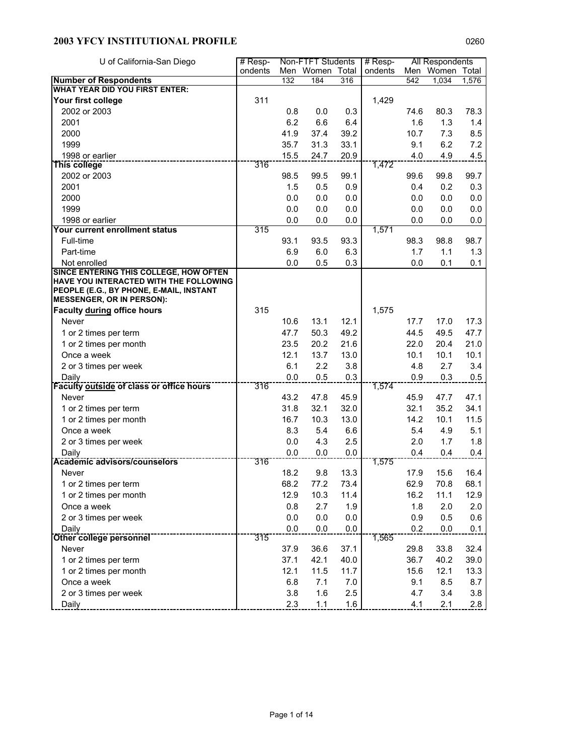| U of California-San Diego                                                        | # Resp- |      | Non-FTFT Students |      | $#$ Resp- |      | All Respondents |       |
|----------------------------------------------------------------------------------|---------|------|-------------------|------|-----------|------|-----------------|-------|
|                                                                                  | ondents |      | Men Women Total   |      | ondents   |      | Men Women Total |       |
| <b>Number of Respondents</b><br><b>WHAT YEAR DID YOU FIRST ENTER:</b>            |         | 132  | 184               | 316  |           | 542  | 1,034           | 1,576 |
| Your first college                                                               | 311     |      |                   |      | 1,429     |      |                 |       |
| 2002 or 2003                                                                     |         | 0.8  | 0.0               | 0.3  |           | 74.6 | 80.3            | 78.3  |
| 2001                                                                             |         | 6.2  |                   |      |           |      |                 |       |
|                                                                                  |         |      | 6.6               | 6.4  |           | 1.6  | 1.3             | 1.4   |
| 2000                                                                             |         | 41.9 | 37.4              | 39.2 |           | 10.7 | 7.3             | 8.5   |
| 1999                                                                             |         | 35.7 | 31.3              | 33.1 |           | 9.1  | 6.2             | 7.2   |
| 1998 or earlier<br>This college                                                  | 316     | 15.5 | 24.7              | 20.9 | 1,472     | 4.0  | 4.9             | 4.5   |
|                                                                                  |         |      |                   |      |           |      |                 |       |
| 2002 or 2003                                                                     |         | 98.5 | 99.5              | 99.1 |           | 99.6 | 99.8            | 99.7  |
| 2001                                                                             |         | 1.5  | 0.5               | 0.9  |           | 0.4  | 0.2             | 0.3   |
| 2000                                                                             |         | 0.0  | 0.0               | 0.0  |           | 0.0  | 0.0             | 0.0   |
| 1999                                                                             |         | 0.0  | 0.0               | 0.0  |           | 0.0  | 0.0             | 0.0   |
| 1998 or earlier                                                                  |         | 0.0  | 0.0               | 0.0  |           | 0.0  | 0.0             | 0.0   |
| Your current enrollment status                                                   | 315     |      |                   |      | 1,571     |      |                 |       |
| Full-time                                                                        |         | 93.1 | 93.5              | 93.3 |           | 98.3 | 98.8            | 98.7  |
| Part-time                                                                        |         | 6.9  | 6.0               | 6.3  |           | 1.7  | 1.1             | 1.3   |
| Not enrolled                                                                     |         | 0.0  | 0.5               | 0.3  |           | 0.0  | 0.1             | 0.1   |
| SINCE ENTERING THIS COLLEGE, HOW OFTEN<br>HAVE YOU INTERACTED WITH THE FOLLOWING |         |      |                   |      |           |      |                 |       |
| PEOPLE (E.G., BY PHONE, E-MAIL, INSTANT                                          |         |      |                   |      |           |      |                 |       |
| <b>MESSENGER, OR IN PERSON):</b>                                                 |         |      |                   |      |           |      |                 |       |
| Faculty during office hours                                                      | 315     |      |                   |      | 1,575     |      |                 |       |
| Never                                                                            |         | 10.6 | 13.1              | 12.1 |           | 17.7 | 17.0            | 17.3  |
| 1 or 2 times per term                                                            |         | 47.7 | 50.3              | 49.2 |           | 44.5 | 49.5            | 47.7  |
| 1 or 2 times per month                                                           |         | 23.5 | 20.2              | 21.6 |           | 22.0 | 20.4            | 21.0  |
| Once a week                                                                      |         | 12.1 | 13.7              | 13.0 |           | 10.1 | 10.1            | 10.1  |
| 2 or 3 times per week                                                            |         | 6.1  | 2.2               | 3.8  |           | 4.8  | 2.7             | 3.4   |
| Daily                                                                            |         | 0.0  | 0.5               | 0.3  |           | 0.9  | 0.3             | 0.5   |
| <b>Faculty outside of class or office hours</b>                                  | 316     |      |                   |      | 1,574     |      |                 |       |
| Never                                                                            |         | 43.2 | 47.8              | 45.9 |           | 45.9 | 47.7            | 47.1  |
| 1 or 2 times per term                                                            |         | 31.8 | 32.1              | 32.0 |           | 32.1 | 35.2            | 34.1  |
| 1 or 2 times per month                                                           |         | 16.7 | 10.3              | 13.0 |           | 14.2 | 10.1            | 11.5  |
| Once a week                                                                      |         | 8.3  | 5.4               | 6.6  |           | 5.4  | 4.9             | 5.1   |
| 2 or 3 times per week                                                            |         | 0.0  | 4.3               | 2.5  |           | 2.0  | 1.7             | 1.8   |
| Daily                                                                            |         | 0.0  | 0.0               | 0.0  |           | 0.4  | 0.4             | 0.4   |
| Academic advisors/counselors                                                     | 316     |      |                   |      | 1,575     |      |                 |       |
| Never                                                                            |         | 18.2 | 9.8               | 13.3 |           | 17.9 | 15.6            | 16.4  |
| 1 or 2 times per term                                                            |         | 68.2 | 77.2              | 73.4 |           | 62.9 | 70.8            | 68.1  |
| 1 or 2 times per month                                                           |         | 12.9 | 10.3              | 11.4 |           | 16.2 | 11.1            | 12.9  |
| Once a week                                                                      |         | 0.8  | 2.7               | 1.9  |           | 1.8  | 2.0             | 2.0   |
| 2 or 3 times per week                                                            |         | 0.0  | 0.0               | 0.0  |           | 0.9  | 0.5             | 0.6   |
| Daily                                                                            |         | 0.0  | 0.0               | 0.0  |           | 0.2  | 0.0             | 0.1   |
| Other college personnel                                                          | 315     |      |                   |      | 1,565     |      |                 |       |
| Never                                                                            |         | 37.9 | 36.6              | 37.1 |           | 29.8 | 33.8            | 32.4  |
| 1 or 2 times per term                                                            |         | 37.1 | 42.1              | 40.0 |           | 36.7 | 40.2            | 39.0  |
| 1 or 2 times per month                                                           |         | 12.1 | 11.5              | 11.7 |           | 15.6 | 12.1            | 13.3  |
| Once a week                                                                      |         | 6.8  | 7.1               | 7.0  |           | 9.1  | 8.5             | 8.7   |
| 2 or 3 times per week                                                            |         | 3.8  | 1.6               | 2.5  |           | 4.7  | 3.4             | 3.8   |
| Daily                                                                            |         | 2.3  | $1.1$             | 1.6  |           | 4.1  | 2.1             | 2.8   |
|                                                                                  |         |      |                   |      |           |      |                 |       |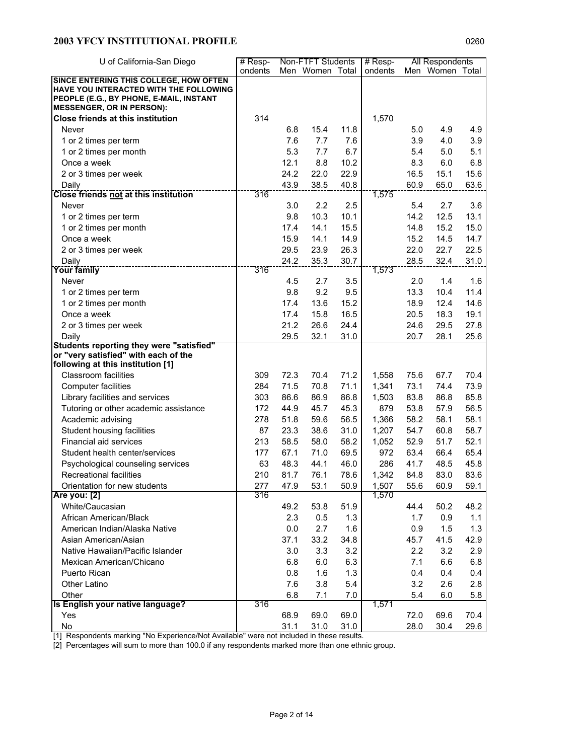| U of California-San Diego                                                        | $#$ Resp- |      | Non-FTFT Students |      | $#$ Resp- |      | All Respondents |      |
|----------------------------------------------------------------------------------|-----------|------|-------------------|------|-----------|------|-----------------|------|
|                                                                                  | ondents   |      | Men Women Total   |      | ondents   |      | Men Women Total |      |
| SINCE ENTERING THIS COLLEGE, HOW OFTEN                                           |           |      |                   |      |           |      |                 |      |
| HAVE YOU INTERACTED WITH THE FOLLOWING                                           |           |      |                   |      |           |      |                 |      |
| PEOPLE (E.G., BY PHONE, E-MAIL, INSTANT<br><b>MESSENGER, OR IN PERSON):</b>      |           |      |                   |      |           |      |                 |      |
| <b>Close friends at this institution</b>                                         | 314       |      |                   |      |           |      |                 |      |
|                                                                                  |           |      |                   |      | 1,570     |      |                 |      |
| Never                                                                            |           | 6.8  | 15.4              | 11.8 |           | 5.0  | 4.9             | 4.9  |
| 1 or 2 times per term                                                            |           | 7.6  | 7.7               | 7.6  |           | 3.9  | 4.0             | 3.9  |
| 1 or 2 times per month                                                           |           | 5.3  | 7.7               | 6.7  |           | 5.4  | 5.0             | 5.1  |
| Once a week                                                                      |           | 12.1 | 8.8               | 10.2 |           | 8.3  | 6.0             | 6.8  |
| 2 or 3 times per week                                                            |           | 24.2 | 22.0              | 22.9 |           | 16.5 | 15.1            | 15.6 |
| Daily                                                                            |           | 43.9 | 38.5              | 40.8 |           | 60.9 | 65.0            | 63.6 |
| <b>Close friends not at this institution</b>                                     | 316       |      |                   |      | 1,575     |      |                 |      |
| Never                                                                            |           | 3.0  | 2.2               | 2.5  |           | 5.4  | 2.7             | 3.6  |
| 1 or 2 times per term                                                            |           | 9.8  | 10.3              | 10.1 |           | 14.2 | 12.5            | 13.1 |
| 1 or 2 times per month                                                           |           | 17.4 | 14.1              | 15.5 |           | 14.8 | 15.2            | 15.0 |
| Once a week                                                                      |           | 15.9 | 14.1              | 14.9 |           | 15.2 | 14.5            | 14.7 |
| 2 or 3 times per week                                                            |           | 29.5 | 23.9              | 26.3 |           | 22.0 | 22.7            | 22.5 |
| Daily                                                                            |           | 24.2 | 35.3              | 30.7 |           | 28.5 | 32.4            | 31.0 |
| Your family                                                                      | 316       |      |                   |      | 1,573     |      |                 |      |
| Never                                                                            |           | 4.5  | 2.7               | 3.5  |           | 2.0  | 1.4             | 1.6  |
| 1 or 2 times per term                                                            |           | 9.8  | 9.2               | 9.5  |           | 13.3 | 10.4            | 11.4 |
| 1 or 2 times per month                                                           |           | 17.4 | 13.6              | 15.2 |           | 18.9 | 12.4            | 14.6 |
| Once a week                                                                      |           | 17.4 | 15.8              | 16.5 |           | 20.5 | 18.3            | 19.1 |
| 2 or 3 times per week                                                            |           | 21.2 | 26.6              | 24.4 |           | 24.6 | 29.5            | 27.8 |
| Daily                                                                            |           | 29.5 | 32.1              | 31.0 |           | 20.7 | 28.1            | 25.6 |
| Students reporting they were "satisfied"<br>or "very satisfied" with each of the |           |      |                   |      |           |      |                 |      |
| following at this institution [1]                                                |           |      |                   |      |           |      |                 |      |
| <b>Classroom facilities</b>                                                      | 309       | 72.3 | 70.4              | 71.2 | 1,558     | 75.6 | 67.7            | 70.4 |
| Computer facilities                                                              | 284       | 71.5 | 70.8              | 71.1 | 1,341     | 73.1 | 74.4            | 73.9 |
| Library facilities and services                                                  | 303       | 86.6 | 86.9              | 86.8 | 1,503     | 83.8 | 86.8            | 85.8 |
| Tutoring or other academic assistance                                            | 172       | 44.9 | 45.7              | 45.3 | 879       | 53.8 | 57.9            | 56.5 |
| Academic advising                                                                | 278       | 51.8 | 59.6              | 56.5 | 1,366     | 58.2 | 58.1            | 58.1 |
| Student housing facilities                                                       | 87        | 23.3 | 38.6              | 31.0 | 1,207     | 54.7 | 60.8            | 58.7 |
| Financial aid services                                                           | 213       | 58.5 | 58.0              | 58.2 | 1,052     | 52.9 | 51.7            | 52.1 |
| Student health center/services                                                   | 177       | 67.1 | 71.0              | 69.5 | 972       | 63.4 | 66.4            | 65.4 |
| Psychological counseling services                                                | 63        | 48.3 | 44.1              | 46.0 | 286       | 41.7 | 48.5            | 45.8 |
| <b>Recreational facilities</b>                                                   | 210       | 81.7 | 76.1              | 78.6 | 1,342     | 84.8 | 83.0            | 83.6 |
| Orientation for new students                                                     | 277       | 47.9 | 53.1              | 50.9 | 1,507     | 55.6 | 60.9            | 59.1 |
| Are you: [2]                                                                     | 316       |      |                   |      | 1,570     |      |                 |      |
| White/Caucasian                                                                  |           | 49.2 | 53.8              | 51.9 |           | 44.4 | 50.2            | 48.2 |
| African American/Black                                                           |           | 2.3  | 0.5               | 1.3  |           | 1.7  | 0.9             | 1.1  |
| American Indian/Alaska Native                                                    |           | 0.0  | 2.7               | 1.6  |           | 0.9  | 1.5             | 1.3  |
| Asian American/Asian                                                             |           | 37.1 | 33.2              | 34.8 |           | 45.7 | 41.5            | 42.9 |
| Native Hawaiian/Pacific Islander                                                 |           |      |                   | 3.2  |           |      |                 |      |
|                                                                                  |           | 3.0  | 3.3               |      |           | 2.2  | 3.2             | 2.9  |
| Mexican American/Chicano                                                         |           | 6.8  | 6.0               | 6.3  |           | 7.1  | 6.6             | 6.8  |
| Puerto Rican                                                                     |           | 0.8  | 1.6               | 1.3  |           | 0.4  | 0.4             | 0.4  |
| Other Latino                                                                     |           | 7.6  | 3.8               | 5.4  |           | 3.2  | 2.6             | 2.8  |
| Other<br>Is English your native language?                                        | 316       | 6.8  | 7.1               | 7.0  | 1,571     | 5.4  | 6.0             | 5.8  |
| Yes                                                                              |           | 68.9 | 69.0              | 69.0 |           | 72.0 | 69.6            | 70.4 |
| No                                                                               |           | 31.1 | 31.0              | 31.0 |           | 28.0 | 30.4            | 29.6 |

[1] Respondents marking "No Experience/Not Available" were not included in these results.

[2] Percentages will sum to more than 100.0 if any respondents marked more than one ethnic group.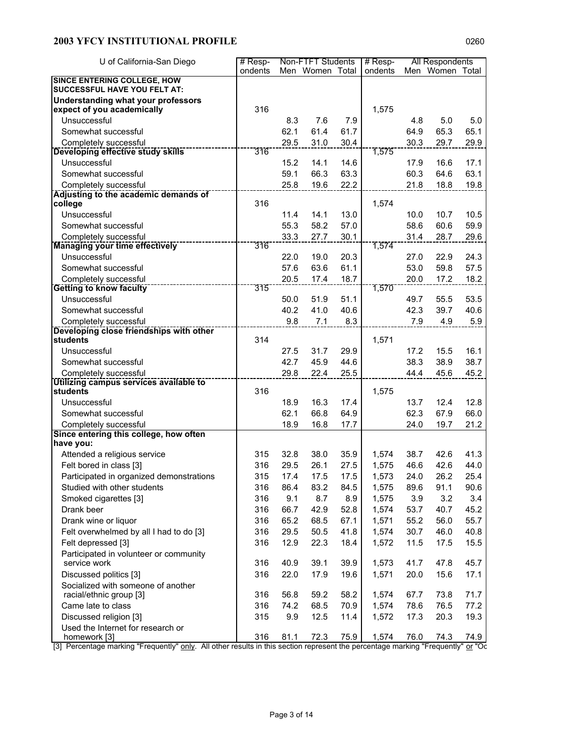| U of California-San Diego                                                 | $#$ Resp- |      | Non-FTFT Students |      | # Resp- |      | All Respondents |       |
|---------------------------------------------------------------------------|-----------|------|-------------------|------|---------|------|-----------------|-------|
|                                                                           | ondents   |      | Men Women Total   |      | ondents |      | Men Women       | Total |
| <b>SINCE ENTERING COLLEGE, HOW</b><br><b>SUCCESSFUL HAVE YOU FELT AT:</b> |           |      |                   |      |         |      |                 |       |
|                                                                           |           |      |                   |      |         |      |                 |       |
| <b>Understanding what your professors</b><br>expect of you academically   | 316       |      |                   |      | 1,575   |      |                 |       |
| Unsuccessful                                                              |           | 8.3  | 7.6               | 7.9  |         | 4.8  | 5.0             | 5.0   |
| Somewhat successful                                                       |           | 62.1 | 61.4              | 61.7 |         | 64.9 | 65.3            | 65.1  |
| Completely successful                                                     |           | 29.5 | 31.0              | 30.4 |         | 30.3 | 29.7            | 29.9  |
| Developing effective study skills                                         | 316       |      |                   |      | 1,575   |      |                 |       |
| Unsuccessful                                                              |           | 15.2 | 14.1              | 14.6 |         | 17.9 | 16.6            | 17.1  |
| Somewhat successful                                                       |           | 59.1 | 66.3              | 63.3 |         | 60.3 | 64.6            | 63.1  |
| Completely successful                                                     |           | 25.8 | 19.6              | 22.2 |         | 21.8 | 18.8            | 19.8  |
| Adjusting to the academic demands of                                      |           |      |                   |      |         |      |                 |       |
| college                                                                   | 316       |      |                   |      | 1,574   |      |                 |       |
| Unsuccessful                                                              |           | 11.4 | 14.1              | 13.0 |         | 10.0 | 10.7            | 10.5  |
| Somewhat successful                                                       |           | 55.3 | 58.2              | 57.0 |         | 58.6 | 60.6            | 59.9  |
| Completely successful                                                     | 316       | 33.3 | 27.7              | 30.1 |         | 31.4 | 28.7            | 29.6  |
| <b>Managing your time effectively</b>                                     |           |      |                   |      | 1,574   |      |                 |       |
| Unsuccessful                                                              |           | 22.0 | 19.0              | 20.3 |         | 27.0 | 22.9            | 24.3  |
| Somewhat successful                                                       |           | 57.6 | 63.6              | 61.1 |         | 53.0 | 59.8            | 57.5  |
| Completely successful                                                     | 315       | 20.5 | 17.4              | 18.7 | 1,570   | 20.0 | 17.2            | 18.2  |
| <b>Getting to know faculty</b><br>Unsuccessful                            |           |      |                   |      |         |      |                 |       |
|                                                                           |           | 50.0 | 51.9              | 51.1 |         | 49.7 | 55.5            | 53.5  |
| Somewhat successful                                                       |           | 40.2 | 41.0              | 40.6 |         | 42.3 | 39.7            | 40.6  |
| Completely successful<br>Developing close friendships with other          |           | 9.8  | 7.1               | 8.3  |         | 7.9  | 4.9             | 5.9   |
| students                                                                  | 314       |      |                   |      | 1,571   |      |                 |       |
| Unsuccessful                                                              |           | 27.5 | 31.7              | 29.9 |         | 17.2 | 15.5            | 16.1  |
| Somewhat successful                                                       |           | 42.7 | 45.9              | 44.6 |         | 38.3 | 38.9            | 38.7  |
| Completely successful                                                     |           | 29.8 | 22.4              | 25.5 |         | 44.4 | 45.6            | 45.2  |
| Utilizing campus services available to                                    |           |      |                   |      |         |      |                 |       |
| students                                                                  | 316       |      |                   |      | 1,575   |      |                 |       |
| Unsuccessful                                                              |           | 18.9 | 16.3              | 17.4 |         | 13.7 | 12.4            | 12.8  |
| Somewhat successful                                                       |           | 62.1 | 66.8              | 64.9 |         | 62.3 | 67.9            | 66.0  |
| Completely successful                                                     |           | 18.9 | 16.8              | 17.7 |         | 24.0 | 19.7            | 21.2  |
| Since entering this college, how often                                    |           |      |                   |      |         |      |                 |       |
| have you:                                                                 |           |      |                   |      |         |      |                 |       |
| Attended a religious service                                              | 315       | 32.8 | 38.0              | 35.9 | 1,574   | 38.7 | 42.6            | 41.3  |
| Felt bored in class [3]                                                   | 316       | 29.5 | 26.1              | 27.5 | 1,575   | 46.6 | 42.6            | 44.0  |
| Participated in organized demonstrations                                  | 315       | 17.4 | 17.5              | 17.5 | 1,573   | 24.0 | 26.2            | 25.4  |
| Studied with other students                                               | 316       | 86.4 | 83.2              | 84.5 | 1,575   | 89.6 | 91.1            | 90.6  |
| Smoked cigarettes [3]                                                     | 316       | 9.1  | 8.7               | 8.9  | 1,575   | 3.9  | 3.2             | 3.4   |
| Drank beer                                                                | 316       | 66.7 | 42.9              | 52.8 | 1,574   | 53.7 | 40.7            | 45.2  |
| Drank wine or liquor                                                      | 316       | 65.2 | 68.5              | 67.1 | 1,571   | 55.2 | 56.0            | 55.7  |
| Felt overwhelmed by all I had to do [3]                                   | 316       | 29.5 | 50.5              | 41.8 | 1,574   | 30.7 | 46.0            | 40.8  |
| Felt depressed [3]                                                        | 316       | 12.9 | 22.3              | 18.4 | 1,572   | 11.5 | 17.5            | 15.5  |
| Participated in volunteer or community                                    |           |      |                   |      |         |      |                 |       |
| service work                                                              | 316       | 40.9 | 39.1              | 39.9 | 1,573   | 41.7 | 47.8            | 45.7  |
| Discussed politics [3]                                                    | 316       | 22.0 | 17.9              | 19.6 | 1,571   | 20.0 | 15.6            | 17.1  |
| Socialized with someone of another                                        |           |      |                   |      |         |      |                 |       |
| racial/ethnic group [3]                                                   | 316       | 56.8 | 59.2              | 58.2 | 1,574   | 67.7 | 73.8            | 71.7  |
| Came late to class                                                        | 316       | 74.2 | 68.5              | 70.9 | 1,574   | 78.6 | 76.5            | 77.2  |
| Discussed religion [3]                                                    | 315       | 9.9  | 12.5              | 11.4 | 1,572   | 17.3 | 20.3            | 19.3  |
| Used the Internet for research or<br>homework [3]                         | 316       | 81.1 | 72.3              | 75.9 | 1,574   | 76.0 | 74.3            | 74.9  |

[3] Percentage marking "Frequently" only. All other results in this section represent the percentage marking "Frequently" or "Oc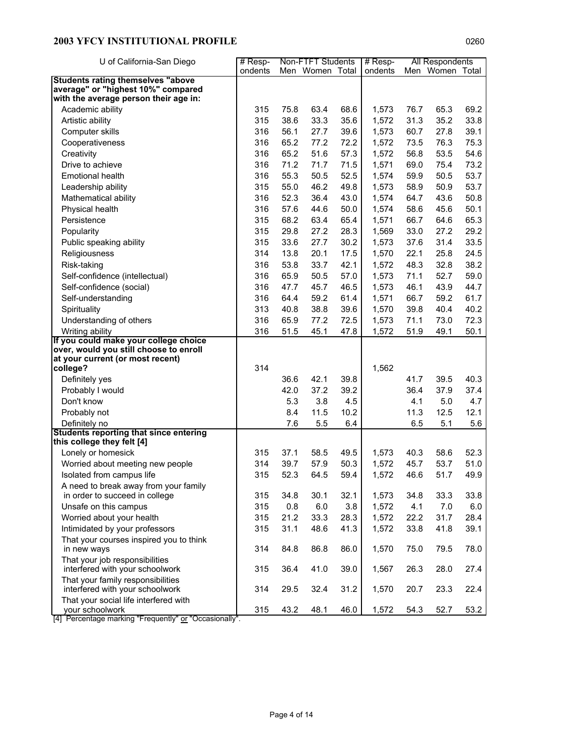| U of California-San Diego                                               | $#$ Resp- |             | Non-FTFT Students |      | # Resp- |      | All Respondents |      |
|-------------------------------------------------------------------------|-----------|-------------|-------------------|------|---------|------|-----------------|------|
|                                                                         | ondents   |             | Men Women Total   |      | ondents |      | Men Women Total |      |
| <b>Students rating themselves "above</b>                                |           |             |                   |      |         |      |                 |      |
| average" or "highest 10%" compared                                      |           |             |                   |      |         |      |                 |      |
| with the average person their age in:                                   |           |             |                   |      |         |      |                 |      |
| Academic ability                                                        | 315       | 75.8        | 63.4              | 68.6 | 1,573   | 76.7 | 65.3            | 69.2 |
| Artistic ability                                                        | 315       | 38.6        | 33.3              | 35.6 | 1,572   | 31.3 | 35.2            | 33.8 |
| Computer skills                                                         | 316       | 56.1        | 27.7              | 39.6 | 1,573   | 60.7 | 27.8            | 39.1 |
| Cooperativeness                                                         | 316       | 65.2        | 77.2              | 72.2 | 1,572   | 73.5 | 76.3            | 75.3 |
| Creativity                                                              | 316       | 65.2        | 51.6              | 57.3 | 1,572   | 56.8 | 53.5            | 54.6 |
| Drive to achieve                                                        | 316       | 71.2        | 71.7              | 71.5 | 1,571   | 69.0 | 75.4            | 73.2 |
| <b>Emotional health</b>                                                 | 316       | 55.3        | 50.5              | 52.5 | 1,574   | 59.9 | 50.5            | 53.7 |
| Leadership ability                                                      | 315       | 55.0        | 46.2              | 49.8 | 1,573   | 58.9 | 50.9            | 53.7 |
| Mathematical ability                                                    | 316       | 52.3        | 36.4              | 43.0 | 1,574   | 64.7 | 43.6            | 50.8 |
| Physical health                                                         | 316       | 57.6        | 44.6              | 50.0 | 1,574   | 58.6 | 45.6            | 50.1 |
| Persistence                                                             | 315       | 68.2        | 63.4              | 65.4 | 1,571   | 66.7 | 64.6            | 65.3 |
| Popularity                                                              | 315       | 29.8        | 27.2              | 28.3 | 1,569   | 33.0 | 27.2            | 29.2 |
| Public speaking ability                                                 | 315       | 33.6        | 27.7              | 30.2 | 1,573   | 37.6 | 31.4            | 33.5 |
| Religiousness                                                           | 314       | 13.8        | 20.1              | 17.5 | 1,570   | 22.1 | 25.8            | 24.5 |
| Risk-taking                                                             | 316       | 53.8        | 33.7              | 42.1 | 1,572   | 48.3 | 32.8            | 38.2 |
| Self-confidence (intellectual)                                          | 316       | 65.9        | 50.5              | 57.0 | 1,573   | 71.1 | 52.7            | 59.0 |
| Self-confidence (social)                                                | 316       | 47.7        | 45.7              | 46.5 | 1,573   | 46.1 | 43.9            | 44.7 |
| Self-understanding                                                      | 316       | 64.4        | 59.2              | 61.4 | 1,571   | 66.7 | 59.2            | 61.7 |
| Spirituality                                                            | 313       | 40.8        | 38.8              | 39.6 | 1,570   | 39.8 | 40.4            | 40.2 |
| Understanding of others                                                 | 316       | 65.9        | 77.2              | 72.5 | 1,573   | 71.1 | 73.0            | 72.3 |
| Writing ability                                                         | 316       | 51.5        | 45.1              | 47.8 | 1,572   | 51.9 | 49.1            | 50.1 |
| If you could make your college choice                                   |           |             |                   |      |         |      |                 |      |
| over, would you still choose to enroll                                  |           |             |                   |      |         |      |                 |      |
| at your current (or most recent)                                        |           |             |                   |      |         |      |                 |      |
| college?                                                                | 314       |             |                   |      | 1,562   |      |                 |      |
| Definitely yes                                                          |           | 36.6        | 42.1              | 39.8 |         | 41.7 | 39.5            | 40.3 |
| Probably I would                                                        |           | 42.0        | 37.2              | 39.2 |         | 36.4 | 37.9            | 37.4 |
| Don't know                                                              |           | 5.3         | 3.8               | 4.5  |         | 4.1  | 5.0             | 4.7  |
| Probably not                                                            |           | 8.4         | 11.5              | 10.2 |         | 11.3 | 12.5            | 12.1 |
| Definitely no                                                           |           | 7.6         | 5.5               | 6.4  |         | 6.5  | 5.1             | 5.6  |
| Students reporting that since entering                                  |           |             |                   |      |         |      |                 |      |
| this college they felt [4]                                              |           |             |                   |      |         | 40.3 |                 |      |
| Lonely or homesick                                                      | 315       | 37.1        | 58.5              | 49.5 | 1,573   |      | 58.6            | 52.3 |
| Worried about meeting new people                                        | 314       | 39.7        | 57.9              | 50.3 | 1,572   | 45.7 | 53.7            | 51.0 |
| Isolated from campus life                                               | 315       | 52.3        | 64.5              | 59.4 | 1,572   | 46.6 | 51.7            | 49.9 |
| A need to break away from your family<br>in order to succeed in college | 315       |             | 30.1              | 32.1 | 1,573   |      | 33.3            | 33.8 |
|                                                                         | 315       | 34.8        |                   |      |         | 34.8 |                 |      |
| Unsafe on this campus                                                   |           | 0.8<br>21.2 | 6.0               | 3.8  | 1,572   | 4.1  | 7.0             | 6.0  |
| Worried about your health                                               | 315       |             | 33.3              | 28.3 | 1,572   | 22.2 | 31.7            | 28.4 |
| Intimidated by your professors                                          | 315       | 31.1        | 48.6              | 41.3 | 1,572   | 33.8 | 41.8            | 39.1 |
| That your courses inspired you to think                                 | 314       | 84.8        | 86.8              | 86.0 | 1,570   | 75.0 | 79.5            | 78.0 |
| in new ways                                                             |           |             |                   |      |         |      |                 |      |
| That your job responsibilities<br>interfered with your schoolwork       | 315       | 36.4        | 41.0              | 39.0 | 1,567   | 26.3 | 28.0            | 27.4 |
| That your family responsibilities                                       |           |             |                   |      |         |      |                 |      |
| interfered with your schoolwork                                         | 314       | 29.5        | 32.4              | 31.2 | 1,570   | 20.7 | 23.3            | 22.4 |
| That your social life interfered with                                   |           |             |                   |      |         |      | 52.7            |      |
| your schoolwork                                                         | 315       | 43.2        | 48.1              | 46.0 | 1,572   | 54.3 |                 | 53.2 |

[4] Percentage marking "Frequently" or "Occasionally".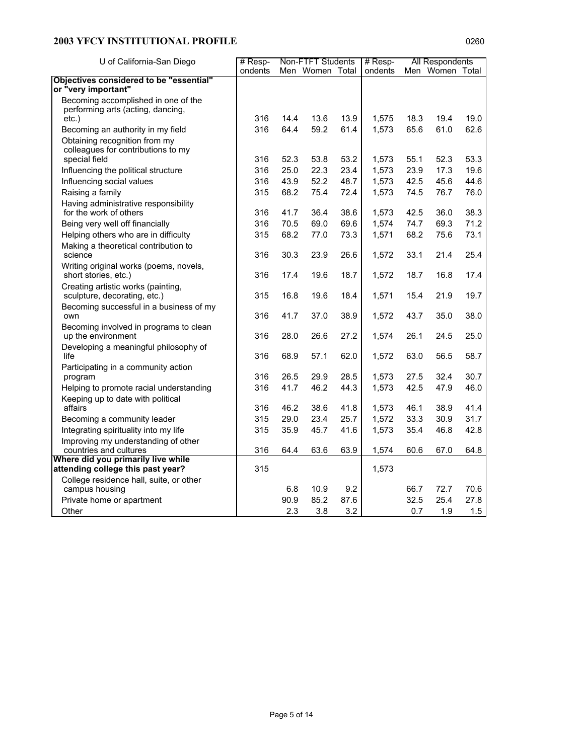| U of California-San Diego                                               | Non-FTFT Students<br>$#$ Resp- |      |                 |      | $#$ Resp- |      | All Respondents |      |
|-------------------------------------------------------------------------|--------------------------------|------|-----------------|------|-----------|------|-----------------|------|
|                                                                         | ondents                        |      | Men Women Total |      | ondents   |      | Men Women Total |      |
| Objectives considered to be "essential"                                 |                                |      |                 |      |           |      |                 |      |
| or "very important"                                                     |                                |      |                 |      |           |      |                 |      |
| Becoming accomplished in one of the                                     |                                |      |                 |      |           |      |                 |      |
| performing arts (acting, dancing,<br>$etc.$ )                           | 316                            | 14.4 | 13.6            | 13.9 | 1,575     | 18.3 | 19.4            | 19.0 |
| Becoming an authority in my field                                       | 316                            | 64.4 | 59.2            | 61.4 | 1,573     | 65.6 | 61.0            | 62.6 |
| Obtaining recognition from my                                           |                                |      |                 |      |           |      |                 |      |
| colleagues for contributions to my                                      |                                |      |                 |      |           |      |                 |      |
| special field                                                           | 316                            | 52.3 | 53.8            | 53.2 | 1,573     | 55.1 | 52.3            | 53.3 |
| Influencing the political structure                                     | 316                            | 25.0 | 22.3            | 23.4 | 1,573     | 23.9 | 17.3            | 19.6 |
| Influencing social values                                               | 316                            | 43.9 | 52.2            | 48.7 | 1,573     | 42.5 | 45.6            | 44.6 |
| Raising a family                                                        | 315                            | 68.2 | 75.4            | 72.4 | 1,573     | 74.5 | 76.7            | 76.0 |
| Having administrative responsibility                                    |                                |      |                 |      |           |      |                 |      |
| for the work of others                                                  | 316                            | 41.7 | 36.4            | 38.6 | 1,573     | 42.5 | 36.0            | 38.3 |
| Being very well off financially                                         | 316                            | 70.5 | 69.0            | 69.6 | 1,574     | 74.7 | 69.3            | 71.2 |
| Helping others who are in difficulty                                    | 315                            | 68.2 | 77.0            | 73.3 | 1,571     | 68.2 | 75.6            | 73.1 |
| Making a theoretical contribution to                                    |                                |      |                 |      |           |      |                 |      |
| science                                                                 | 316                            | 30.3 | 23.9            | 26.6 | 1,572     | 33.1 | 21.4            | 25.4 |
| Writing original works (poems, novels,                                  |                                |      |                 |      |           |      |                 |      |
| short stories, etc.)                                                    | 316                            | 17.4 | 19.6            | 18.7 | 1,572     | 18.7 | 16.8            | 17.4 |
| Creating artistic works (painting,                                      |                                |      |                 |      |           |      |                 |      |
| sculpture, decorating, etc.)                                            | 315                            | 16.8 | 19.6            | 18.4 | 1,571     | 15.4 | 21.9            | 19.7 |
| Becoming successful in a business of my<br>own                          | 316                            | 41.7 | 37.0            | 38.9 | 1,572     | 43.7 | 35.0            | 38.0 |
| Becoming involved in programs to clean                                  |                                |      |                 |      |           |      |                 |      |
| up the environment                                                      | 316                            | 28.0 | 26.6            | 27.2 | 1,574     | 26.1 | 24.5            | 25.0 |
| Developing a meaningful philosophy of                                   |                                |      |                 |      |           |      |                 |      |
| life                                                                    | 316                            | 68.9 | 57.1            | 62.0 | 1,572     | 63.0 | 56.5            | 58.7 |
| Participating in a community action                                     |                                |      |                 |      |           |      |                 |      |
| program                                                                 | 316                            | 26.5 | 29.9            | 28.5 | 1,573     | 27.5 | 32.4            | 30.7 |
| Helping to promote racial understanding                                 | 316                            | 41.7 | 46.2            | 44.3 | 1,573     | 42.5 | 47.9            | 46.0 |
| Keeping up to date with political                                       |                                |      |                 |      |           |      |                 |      |
| affairs                                                                 | 316                            | 46.2 | 38.6            | 41.8 | 1,573     | 46.1 | 38.9            | 41.4 |
| Becoming a community leader                                             | 315                            | 29.0 | 23.4            | 25.7 | 1,572     | 33.3 | 30.9            | 31.7 |
| Integrating spirituality into my life                                   | 315                            | 35.9 | 45.7            | 41.6 | 1,573     | 35.4 | 46.8            | 42.8 |
| Improving my understanding of other                                     |                                |      |                 |      |           |      |                 |      |
| countries and cultures                                                  | 316                            | 64.4 | 63.6            | 63.9 | 1,574     | 60.6 | 67.0            | 64.8 |
| Where did you primarily live while<br>attending college this past year? | 315                            |      |                 |      | 1,573     |      |                 |      |
| College residence hall, suite, or other                                 |                                |      |                 |      |           |      |                 |      |
| campus housing                                                          |                                | 6.8  | 10.9            | 9.2  |           | 66.7 | 72.7            | 70.6 |
| Private home or apartment                                               |                                | 90.9 | 85.2            | 87.6 |           | 32.5 | 25.4            | 27.8 |
| Other                                                                   |                                | 2.3  | 3.8             | 3.2  |           | 0.7  | 1.9             | 1.5  |
|                                                                         |                                |      |                 |      |           |      |                 |      |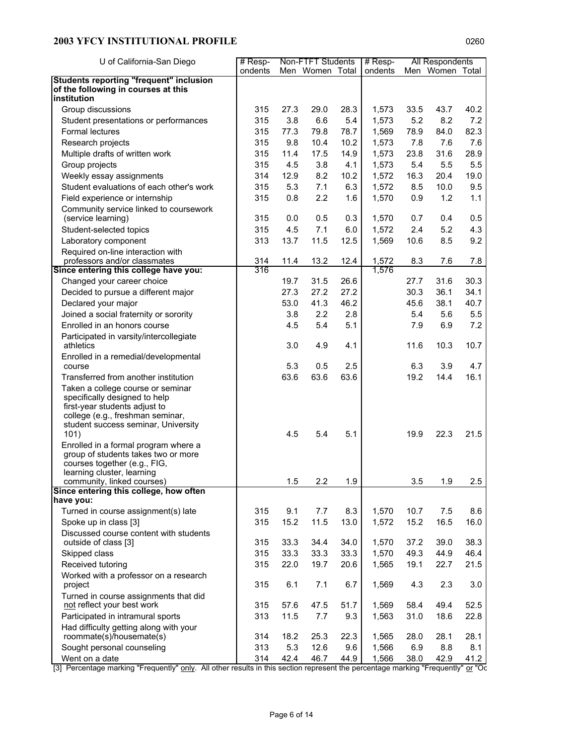| U of California-San Diego                                          | $#$ Resp- |      | Non-FTFT Students |      | $#$ Resp- |      | All Respondents |      |
|--------------------------------------------------------------------|-----------|------|-------------------|------|-----------|------|-----------------|------|
|                                                                    | ondents   |      | Men Women Total   |      | ondents   |      | Men Women Total |      |
| <b>Students reporting "frequent" inclusion</b>                     |           |      |                   |      |           |      |                 |      |
| of the following in courses at this                                |           |      |                   |      |           |      |                 |      |
| institution                                                        |           |      |                   |      |           |      |                 |      |
| Group discussions                                                  | 315       | 27.3 | 29.0              | 28.3 | 1,573     | 33.5 | 43.7            | 40.2 |
| Student presentations or performances                              | 315       | 3.8  | 6.6               | 5.4  | 1,573     | 5.2  | 8.2             | 7.2  |
| <b>Formal lectures</b>                                             | 315       | 77.3 | 79.8              | 78.7 | 1,569     | 78.9 | 84.0            | 82.3 |
| Research projects                                                  | 315       | 9.8  | 10.4              | 10.2 | 1,573     | 7.8  | 7.6             | 7.6  |
| Multiple drafts of written work                                    | 315       | 11.4 | 17.5              | 14.9 | 1,573     | 23.8 | 31.6            | 28.9 |
| Group projects                                                     | 315       | 4.5  | 3.8               | 4.1  | 1,573     | 5.4  | 5.5             | 5.5  |
| Weekly essay assignments                                           | 314       | 12.9 | 8.2               | 10.2 | 1,572     | 16.3 | 20.4            | 19.0 |
| Student evaluations of each other's work                           | 315       | 5.3  | 7.1               | 6.3  | 1,572     | 8.5  | 10.0            | 9.5  |
| Field experience or internship                                     | 315       | 0.8  | 2.2               | 1.6  | 1,570     | 0.9  | 1.2             | 1.1  |
| Community service linked to coursework                             |           |      |                   |      |           |      |                 |      |
| (service learning)                                                 | 315       | 0.0  | 0.5               | 0.3  | 1,570     | 0.7  | 0.4             | 0.5  |
| Student-selected topics                                            | 315       | 4.5  | 7.1               | 6.0  | 1,572     | 2.4  | 5.2             | 4.3  |
| Laboratory component                                               | 313       | 13.7 | 11.5              | 12.5 | 1,569     | 10.6 | 8.5             | 9.2  |
| Required on-line interaction with                                  |           |      |                   |      |           |      |                 |      |
| professors and/or classmates                                       | 314       | 11.4 | 13.2              | 12.4 | 1,572     | 8.3  | 7.6             | 7.8  |
| Since entering this college have you:                              | 316       |      |                   |      | 1,576     |      |                 |      |
| Changed your career choice                                         |           | 19.7 | 31.5              | 26.6 |           | 27.7 | 31.6            | 30.3 |
| Decided to pursue a different major                                |           | 27.3 | 27.2              | 27.2 |           | 30.3 | 36.1            | 34.1 |
| Declared your major                                                |           | 53.0 | 41.3              | 46.2 |           | 45.6 | 38.1            | 40.7 |
| Joined a social fraternity or sorority                             |           | 3.8  | 2.2               | 2.8  |           | 5.4  | 5.6             | 5.5  |
| Enrolled in an honors course                                       |           | 4.5  | 5.4               | 5.1  |           | 7.9  | 6.9             | 7.2  |
| Participated in varsity/intercollegiate                            |           |      |                   |      |           |      |                 |      |
| athletics                                                          |           | 3.0  | 4.9               | 4.1  |           | 11.6 | 10.3            | 10.7 |
| Enrolled in a remedial/developmental<br>course                     |           | 5.3  | 0.5               | 2.5  |           | 6.3  | 3.9             | 4.7  |
| Transferred from another institution                               |           | 63.6 | 63.6              | 63.6 |           | 19.2 | 14.4            | 16.1 |
|                                                                    |           |      |                   |      |           |      |                 |      |
| Taken a college course or seminar<br>specifically designed to help |           |      |                   |      |           |      |                 |      |
| first-year students adjust to                                      |           |      |                   |      |           |      |                 |      |
| college (e.g., freshman seminar,                                   |           |      |                   |      |           |      |                 |      |
| student success seminar, University                                |           |      |                   |      |           |      |                 |      |
| 101)                                                               |           | 4.5  | 5.4               | 5.1  |           | 19.9 | 22.3            | 21.5 |
| Enrolled in a formal program where a                               |           |      |                   |      |           |      |                 |      |
| group of students takes two or more                                |           |      |                   |      |           |      |                 |      |
| courses together (e.g., FIG,<br>learning cluster, learning         |           |      |                   |      |           |      |                 |      |
| community, linked courses)                                         |           | 1.5  | 2.2               | 1.9  |           | 3.5  | 1.9             | 2.5  |
| Since entering this college, how often                             |           |      |                   |      |           |      |                 |      |
| have you:                                                          |           |      |                   |      |           |      |                 |      |
| Turned in course assignment(s) late                                | 315       | 9.1  | 7.7               | 8.3  | 1,570     | 10.7 | 7.5             | 8.6  |
| Spoke up in class [3]                                              | 315       | 15.2 | 11.5              | 13.0 | 1,572     | 15.2 | 16.5            | 16.0 |
| Discussed course content with students                             |           |      |                   |      |           |      |                 |      |
| outside of class [3]                                               | 315       | 33.3 | 34.4              | 34.0 | 1,570     | 37.2 | 39.0            | 38.3 |
| Skipped class                                                      | 315       | 33.3 | 33.3              | 33.3 | 1,570     | 49.3 | 44.9            | 46.4 |
| Received tutoring                                                  | 315       | 22.0 | 19.7              | 20.6 | 1,565     | 19.1 | 22.7            | 21.5 |
| Worked with a professor on a research                              |           |      |                   |      |           |      |                 |      |
| project                                                            | 315       | 6.1  | 7.1               | 6.7  | 1,569     | 4.3  | 2.3             | 3.0  |
| Turned in course assignments that did                              |           |      |                   |      |           |      |                 |      |
| not reflect your best work                                         | 315       | 57.6 | 47.5              | 51.7 | 1,569     | 58.4 | 49.4            | 52.5 |
| Participated in intramural sports                                  | 313       | 11.5 | 7.7               | 9.3  | 1,563     | 31.0 | 18.6            | 22.8 |
| Had difficulty getting along with your                             |           |      |                   |      |           |      |                 |      |
| roommate(s)/housemate(s)                                           | 314       | 18.2 | 25.3              | 22.3 | 1,565     | 28.0 | 28.1            | 28.1 |
| Sought personal counseling                                         | 313       | 5.3  | 12.6              | 9.6  | 1,566     | 6.9  | 8.8             | 8.1  |
| Went on a date                                                     | 314       | 42.4 | 46.7              | 44.9 | 1,566     | 38.0 | 42.9            | 41.2 |

[3] Percentage marking "Frequently" only. All other results in this section represent the percentage marking "Frequently" or "Oc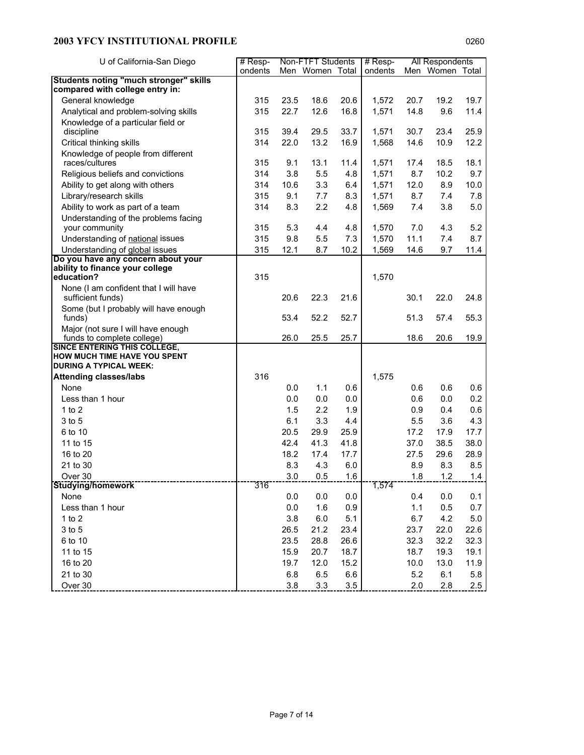| U of California-San Diego                                      | $#$ Resp- |      | Non-FTFT Students |      | $#$ Resp-      |      | All Respondents |      |
|----------------------------------------------------------------|-----------|------|-------------------|------|----------------|------|-----------------|------|
|                                                                | ondents   |      | Men Women Total   |      | ondents        |      | Men Women Total |      |
| <b>Students noting "much stronger" skills</b>                  |           |      |                   |      |                |      |                 |      |
| compared with college entry in:                                |           |      |                   |      |                |      |                 |      |
| General knowledge                                              | 315       | 23.5 | 18.6              | 20.6 | 1,572          | 20.7 | 19.2            | 19.7 |
| Analytical and problem-solving skills                          | 315       | 22.7 | 12.6              | 16.8 | 1,571          | 14.8 | 9.6             | 11.4 |
| Knowledge of a particular field or                             | 315       | 39.4 | 29.5              | 33.7 |                | 30.7 | 23.4            | 25.9 |
| discipline                                                     | 314       | 22.0 | 13.2              | 16.9 | 1,571<br>1,568 | 14.6 | 10.9            | 12.2 |
| Critical thinking skills<br>Knowledge of people from different |           |      |                   |      |                |      |                 |      |
| races/cultures                                                 | 315       | 9.1  | 13.1              | 11.4 | 1,571          | 17.4 | 18.5            | 18.1 |
| Religious beliefs and convictions                              | 314       | 3.8  | 5.5               | 4.8  | 1,571          | 8.7  | 10.2            | 9.7  |
| Ability to get along with others                               | 314       | 10.6 | 3.3               | 6.4  | 1,571          | 12.0 | 8.9             | 10.0 |
| Library/research skills                                        | 315       | 9.1  | 7.7               | 8.3  | 1,571          | 8.7  | 7.4             | 7.8  |
| Ability to work as part of a team                              | 314       | 8.3  | 2.2               | 4.8  | 1,569          | 7.4  | 3.8             | 5.0  |
| Understanding of the problems facing                           |           |      |                   |      |                |      |                 |      |
| your community                                                 | 315       | 5.3  | 4.4               | 4.8  | 1,570          | 7.0  | 4.3             | 5.2  |
| Understanding of national issues                               | 315       | 9.8  | 5.5               | 7.3  | 1,570          | 11.1 | 7.4             | 8.7  |
| Understanding of global issues                                 | 315       | 12.1 | 8.7               | 10.2 | 1,569          | 14.6 | 9.7             | 11.4 |
| Do you have any concern about your                             |           |      |                   |      |                |      |                 |      |
| ability to finance your college<br>education?                  | 315       |      |                   |      | 1,570          |      |                 |      |
| None (I am confident that I will have                          |           |      |                   |      |                |      |                 |      |
| sufficient funds)                                              |           | 20.6 | 22.3              | 21.6 |                | 30.1 | 22.0            | 24.8 |
| Some (but I probably will have enough<br>funds)                |           | 53.4 | 52.2              | 52.7 |                | 51.3 | 57.4            | 55.3 |
| Major (not sure I will have enough                             |           |      |                   |      |                |      |                 |      |
| funds to complete college)                                     |           | 26.0 | 25.5              | 25.7 |                | 18.6 | 20.6            | 19.9 |
| SINCE ENTERING THIS COLLEGE,                                   |           |      |                   |      |                |      |                 |      |
| HOW MUCH TIME HAVE YOU SPENT<br><b>DURING A TYPICAL WEEK:</b>  |           |      |                   |      |                |      |                 |      |
| <b>Attending classes/labs</b>                                  | 316       |      |                   |      | 1,575          |      |                 |      |
| None                                                           |           | 0.0  | 1.1               | 0.6  |                | 0.6  | 0.6             | 0.6  |
| Less than 1 hour                                               |           | 0.0  | 0.0               | 0.0  |                | 0.6  | 0.0             | 0.2  |
| 1 to $2$                                                       |           | 1.5  | 2.2               | 1.9  |                | 0.9  | 0.4             | 0.6  |
| 3 to 5                                                         |           | 6.1  | 3.3               | 4.4  |                | 5.5  | 3.6             | 4.3  |
| 6 to 10                                                        |           | 20.5 | 29.9              | 25.9 |                | 17.2 | 17.9            | 17.7 |
| 11 to 15                                                       |           | 42.4 | 41.3              | 41.8 |                | 37.0 | 38.5            | 38.0 |
| 16 to 20                                                       |           | 18.2 | 17.4              | 17.7 |                | 27.5 | 29.6            | 28.9 |
| 21 to 30                                                       |           | 8.3  | 4.3               | 6.0  |                | 8.9  | 8.3             | 8.5  |
| Over 30                                                        |           | 3.0  | 0.5               | 1.6  |                | 1.8  | 1.2             | 1.4  |
| Studying/homework                                              | 316       |      |                   |      | 1,574          |      |                 |      |
| None                                                           |           | 0.0  | 0.0               | 0.0  |                | 0.4  | 0.0             | 0.1  |
| Less than 1 hour                                               |           | 0.0  | 1.6               | 0.9  |                | 1.1  | 0.5             | 0.7  |
| 1 to 2                                                         |           | 3.8  | 6.0               | 5.1  |                | 6.7  | 4.2             | 5.0  |
| 3 to 5                                                         |           | 26.5 | 21.2              | 23.4 |                | 23.7 | 22.0            | 22.6 |
| 6 to 10                                                        |           | 23.5 | 28.8              | 26.6 |                | 32.3 | 32.2            | 32.3 |
| 11 to 15                                                       |           | 15.9 | 20.7              | 18.7 |                | 18.7 | 19.3            | 19.1 |
| 16 to 20                                                       |           | 19.7 | 12.0              | 15.2 |                | 10.0 | 13.0            | 11.9 |
| 21 to 30                                                       |           | 6.8  | 6.5               | 6.6  |                | 5.2  | 6.1             | 5.8  |
| Over 30                                                        |           | 3.8  | 3.3               | 3.5  |                | 2.0  | 2.8             | 2.5  |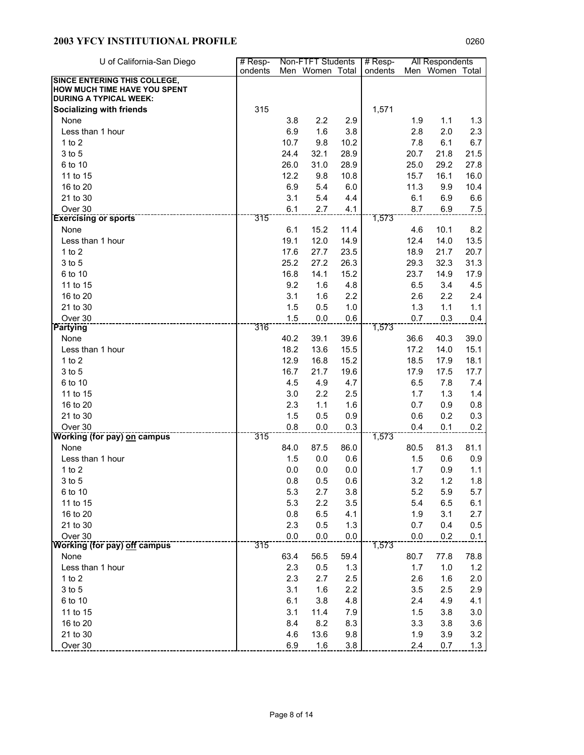| U of California-San Diego                                     | # Resp- |      | Non-FTFT Students |      | # Resp- |      | All Respondents |      |
|---------------------------------------------------------------|---------|------|-------------------|------|---------|------|-----------------|------|
|                                                               | ondents |      | Men Women Total   |      | ondents |      | Men Women Total |      |
| <b>SINCE ENTERING THIS COLLEGE,</b>                           |         |      |                   |      |         |      |                 |      |
| HOW MUCH TIME HAVE YOU SPENT<br><b>DURING A TYPICAL WEEK:</b> |         |      |                   |      |         |      |                 |      |
| <b>Socializing with friends</b>                               | 315     |      |                   |      | 1,571   |      |                 |      |
| None                                                          |         | 3.8  | 2.2               | 2.9  |         | 1.9  | 1.1             | 1.3  |
| Less than 1 hour                                              |         | 6.9  | 1.6               | 3.8  |         | 2.8  | 2.0             | 2.3  |
| $1$ to $2$                                                    |         | 10.7 | 9.8               | 10.2 |         | 7.8  | 6.1             | 6.7  |
| 3 to 5                                                        |         | 24.4 | 32.1              | 28.9 |         | 20.7 | 21.8            | 21.5 |
| 6 to 10                                                       |         | 26.0 | 31.0              | 28.9 |         | 25.0 | 29.2            | 27.8 |
| 11 to 15                                                      |         | 12.2 | 9.8               | 10.8 |         | 15.7 | 16.1            | 16.0 |
| 16 to 20                                                      |         | 6.9  | 5.4               | 6.0  |         | 11.3 | 9.9             | 10.4 |
| 21 to 30                                                      |         | 3.1  | 5.4               | 4.4  |         | 6.1  | 6.9             | 6.6  |
| Over 30                                                       |         | 6.1  | 2.7               | 4.1  |         | 8.7  | 6.9             |      |
| <b>Exercising or sports</b>                                   | 315     |      |                   |      | 1,573   |      |                 | 7.5  |
| None                                                          |         | 6.1  | 15.2              | 11.4 |         | 4.6  | 10.1            | 8.2  |
| Less than 1 hour                                              |         | 19.1 | 12.0              | 14.9 |         | 12.4 | 14.0            | 13.5 |
| $1$ to $2$                                                    |         | 17.6 | 27.7              | 23.5 |         | 18.9 | 21.7            | 20.7 |
| 3 to 5                                                        |         | 25.2 | 27.2              | 26.3 |         | 29.3 | 32.3            | 31.3 |
| 6 to 10                                                       |         | 16.8 | 14.1              | 15.2 |         | 23.7 | 14.9            | 17.9 |
| 11 to 15                                                      |         | 9.2  | 1.6               | 4.8  |         | 6.5  | 3.4             | 4.5  |
| 16 to 20                                                      |         | 3.1  | 1.6               | 2.2  |         | 2.6  | 2.2             | 2.4  |
| 21 to 30                                                      |         | 1.5  | 0.5               | 1.0  |         | 1.3  | 1.1             | 1.1  |
| Over 30                                                       |         | 1.5  | 0.0               | 0.6  |         | 0.7  | 0.3             | 0.4  |
| Partying                                                      | 316     |      |                   |      | 1,573   |      |                 |      |
| None                                                          |         | 40.2 | 39.1              | 39.6 |         | 36.6 | 40.3            | 39.0 |
| Less than 1 hour                                              |         | 18.2 | 13.6              | 15.5 |         | 17.2 | 14.0            | 15.1 |
| 1 to $2$                                                      |         | 12.9 | 16.8              | 15.2 |         | 18.5 | 17.9            | 18.1 |
| 3 to 5                                                        |         | 16.7 | 21.7              | 19.6 |         | 17.9 | 17.5            | 17.7 |
| 6 to 10                                                       |         | 4.5  | 4.9               | 4.7  |         | 6.5  | 7.8             | 7.4  |
| 11 to 15                                                      |         | 3.0  | 2.2               | 2.5  |         | 1.7  | 1.3             | 1.4  |
| 16 to 20                                                      |         | 2.3  | 1.1               | 1.6  |         | 0.7  | 0.9             | 0.8  |
| 21 to 30                                                      |         | 1.5  | 0.5               | 0.9  |         | 0.6  | 0.2             | 0.3  |
| Over 30                                                       |         | 0.8  | 0.0               | 0.3  |         | 0.4  | 0.1             | 0.2  |
| <b>Working (for pay) on campus</b>                            | 315     |      |                   |      | 1,573   |      |                 |      |
| None                                                          |         | 84.0 | 87.5              | 86.0 |         | 80.5 | 81.3            | 81.1 |
| Less than 1 hour                                              |         | 1.5  | 0.0               | 0.6  |         | 1.5  | 0.6             | 0.9  |
| 1 to $2$                                                      |         | 0.0  | 0.0               | 0.0  |         | 1.7  | 0.9             | 1.1  |
| 3 to 5                                                        |         | 0.8  | 0.5               | 0.6  |         | 3.2  | 1.2             | 1.8  |
| 6 to 10                                                       |         | 5.3  | 2.7               | 3.8  |         | 5.2  | 5.9             | 5.7  |
| 11 to 15                                                      |         | 5.3  | 2.2               | 3.5  |         | 5.4  | 6.5             | 6.1  |
| 16 to 20                                                      |         | 0.8  | 6.5               | 4.1  |         | 1.9  | 3.1             | 2.7  |
| 21 to 30                                                      |         | 2.3  | 0.5               | 1.3  |         | 0.7  | 0.4             | 0.5  |
| Over 30                                                       |         | 0.0  | 0.0               | 0.0  |         | 0.0  | 0.2             | 0.1  |
| <b>Working (for pay) off campus</b>                           | 315     |      |                   |      | 1,573   |      |                 |      |
| None                                                          |         | 63.4 | 56.5              | 59.4 |         | 80.7 | 77.8            | 78.8 |
| Less than 1 hour                                              |         | 2.3  | 0.5               | 1.3  |         | 1.7  | 1.0             | 1.2  |
| 1 to $2$                                                      |         | 2.3  | 2.7               | 2.5  |         | 2.6  | 1.6             | 2.0  |
| 3 to 5                                                        |         | 3.1  | 1.6               | 2.2  |         | 3.5  | 2.5             | 2.9  |
| 6 to 10                                                       |         | 6.1  | 3.8               | 4.8  |         | 2.4  | 4.9             | 4.1  |
| 11 to 15                                                      |         | 3.1  | 11.4              | 7.9  |         | 1.5  | 3.8             | 3.0  |
| 16 to 20                                                      |         | 8.4  | 8.2               | 8.3  |         | 3.3  | 3.8             | 3.6  |
| 21 to 30                                                      |         | 4.6  | 13.6              | 9.8  |         | 1.9  | 3.9             | 3.2  |
| Over 30                                                       |         | 6.9  | 1.6               | 3.8  |         | 2.4  | 0.7             | 1.3  |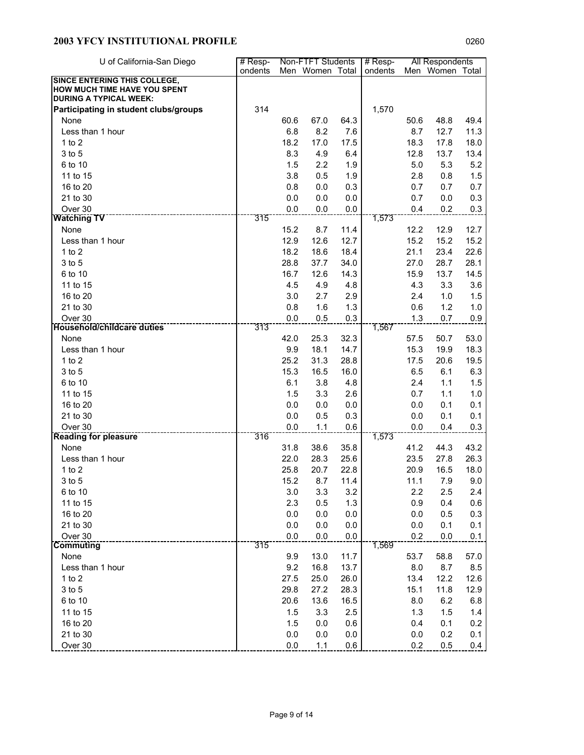| U of California-San Diego                                     | # Resp- | Non-FTFT Students |                 |            | # Resp- |            | All Respondents |              |
|---------------------------------------------------------------|---------|-------------------|-----------------|------------|---------|------------|-----------------|--------------|
|                                                               | ondents |                   | Men Women Total |            | ondents |            | Men Women Total |              |
| <b>SINCE ENTERING THIS COLLEGE,</b>                           |         |                   |                 |            |         |            |                 |              |
| HOW MUCH TIME HAVE YOU SPENT<br><b>DURING A TYPICAL WEEK:</b> |         |                   |                 |            |         |            |                 |              |
| Participating in student clubs/groups                         | 314     |                   |                 |            | 1,570   |            |                 |              |
| None                                                          |         | 60.6              | 67.0            | 64.3       |         | 50.6       | 48.8            | 49.4         |
| Less than 1 hour                                              |         | 6.8               | 8.2             | 7.6        |         | 8.7        | 12.7            | 11.3         |
| $1$ to $2$                                                    |         | 18.2              | 17.0            | 17.5       |         | 18.3       | 17.8            | 18.0         |
| 3 to 5                                                        |         | 8.3               | 4.9             | 6.4        |         | 12.8       | 13.7            | 13.4         |
| 6 to 10                                                       |         | 1.5               | 2.2             | 1.9        |         | 5.0        | 5.3             | 5.2          |
| 11 to 15                                                      |         | 3.8               | 0.5             | 1.9        |         | 2.8        | 0.8             | 1.5          |
| 16 to 20                                                      |         | 0.8               | 0.0             | 0.3        |         | 0.7        | 0.7             | 0.7          |
| 21 to 30                                                      |         | 0.0               | 0.0             | 0.0        |         | 0.7        | 0.0             | 0.3          |
| Over 30                                                       |         | 0.0               | 0.0             | 0.0        |         | 0.4        | 0.2             | 0.3          |
| <b>Watching TV</b>                                            | 315     |                   |                 |            | 1,573   |            |                 |              |
| None                                                          |         | 15.2              | 8.7             | 11.4       |         | 12.2       | 12.9            | 12.7         |
| Less than 1 hour                                              |         | 12.9              | 12.6            | 12.7       |         | 15.2       | 15.2            | 15.2         |
| 1 to $2$                                                      |         | 18.2              | 18.6            | 18.4       |         | 21.1       | 23.4            | 22.6         |
| 3 to 5                                                        |         | 28.8              | 37.7            | 34.0       |         | 27.0       | 28.7            | 28.1         |
| 6 to 10                                                       |         | 16.7              | 12.6            | 14.3       |         | 15.9       | 13.7            | 14.5         |
| 11 to 15                                                      |         | 4.5               | 4.9             | 4.8        |         | 4.3        | 3.3             | 3.6          |
| 16 to 20                                                      |         | 3.0               | 2.7             | 2.9        |         | 2.4        | 1.0             | 1.5          |
| 21 to 30                                                      |         | 0.8               | 1.6             | 1.3        |         | 0.6        | 1.2             | 1.0          |
| Over 30                                                       |         | 0.0               | 0.5             | 0.3        |         | 1.3        | 0.7             | 0.9          |
| <b>Household/childcare duties</b>                             | 313     |                   |                 |            | 1,567   |            |                 |              |
| None                                                          |         | 42.0              | 25.3            | 32.3       |         | 57.5       | 50.7            | 53.0         |
| Less than 1 hour                                              |         | 9.9               | 18.1            | 14.7       |         | 15.3       | 19.9            | 18.3         |
| 1 to $2$                                                      |         | 25.2              | 31.3            | 28.8       |         | 17.5       | 20.6            | 19.5         |
| 3 to 5                                                        |         | 15.3              | 16.5            | 16.0       |         | 6.5        | 6.1             | 6.3          |
| 6 to 10                                                       |         | 6.1               | 3.8             | 4.8        |         | 2.4        | 1.1             | 1.5          |
| 11 to 15                                                      |         | 1.5               | 3.3             | 2.6        |         | 0.7        | 1.1             | 1.0          |
| 16 to 20                                                      |         | 0.0               | 0.0             | 0.0        |         | 0.0        | 0.1             | 0.1          |
| 21 to 30                                                      |         | 0.0               | 0.5             | 0.3        |         | 0.0        | 0.1             | 0.1          |
| Over 30                                                       |         | 0.0               | 1.1             | 0.6        |         | 0.0        | 0.4             | 0.3          |
| <b>Reading for pleasure</b><br>None                           | 316     |                   |                 |            | 1,573   |            |                 |              |
|                                                               |         | 31.8              | 38.6            | 35.8       |         | 41.2       | 44.3            | 43.2<br>26.3 |
| Less than 1 hour                                              |         | 22.0              | 28.3            | 25.6       |         | 23.5       | 27.8            |              |
| $1$ to $2$                                                    |         | 25.8              | 20.7            | 22.8       |         | 20.9       | 16.5            | 18.0         |
| 3 to 5                                                        |         | 15.2              | 8.7             | 11.4       |         | 11.1       | 7.9             | 9.0          |
| 6 to 10                                                       |         | 3.0<br>2.3        | 3.3<br>0.5      | 3.2        |         | 2.2        | 2.5             | 2.4<br>0.6   |
| 11 to 15<br>16 to 20                                          |         | 0.0               | 0.0             | 1.3<br>0.0 |         | 0.9<br>0.0 | 0.4<br>0.5      | 0.3          |
| 21 to 30                                                      |         | 0.0               | 0.0             | 0.0        |         | 0.0        | 0.1             | 0.1          |
| Over 30                                                       |         | 0.0               | 0.0             | 0.0        |         | 0.2        | 0.0             |              |
| <b>Commuting</b>                                              | 315     |                   |                 |            | 1,569   |            |                 | 0.1          |
| None                                                          |         | 9.9               | 13.0            | 11.7       |         | 53.7       | 58.8            | 57.0         |
| Less than 1 hour                                              |         | 9.2               | 16.8            | 13.7       |         | 8.0        | 8.7             | 8.5          |
| 1 to $2$                                                      |         | 27.5              | 25.0            | 26.0       |         | 13.4       | 12.2            | 12.6         |
| 3 to 5                                                        |         | 29.8              | 27.2            | 28.3       |         | 15.1       | 11.8            | 12.9         |
| 6 to 10                                                       |         | 20.6              | 13.6            | 16.5       |         | 8.0        | 6.2             | 6.8          |
| 11 to 15                                                      |         | 1.5               | 3.3             | 2.5        |         | 1.3        | 1.5             | 1.4          |
| 16 to 20                                                      |         | 1.5               | 0.0             | 0.6        |         | 0.4        | 0.1             | 0.2          |
| 21 to 30                                                      |         | 0.0               | 0.0             | 0.0        |         | 0.0        | 0.2             | 0.1          |
| Over 30                                                       |         | 0.0               | 1.1             | 0.6        |         | 0.2        | 0.5             | 0.4          |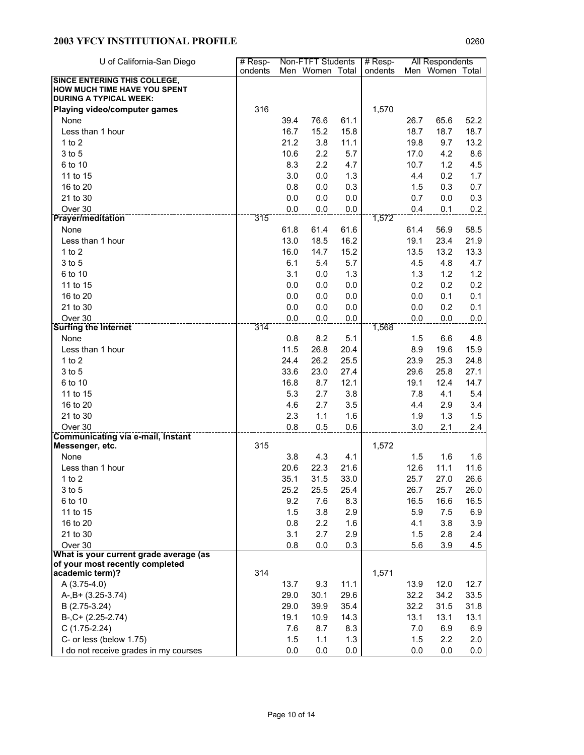| U of California-San Diego                                     | # Resp- |      | Non-FTFT Students |      | $#$ Resp- |      | All Respondents |      |
|---------------------------------------------------------------|---------|------|-------------------|------|-----------|------|-----------------|------|
|                                                               | ondents |      | Men Women Total   |      | ondents   |      | Men Women Total |      |
| <b>SINCE ENTERING THIS COLLEGE,</b>                           |         |      |                   |      |           |      |                 |      |
| HOW MUCH TIME HAVE YOU SPENT<br><b>DURING A TYPICAL WEEK:</b> |         |      |                   |      |           |      |                 |      |
| Playing video/computer games                                  | 316     |      |                   |      | 1,570     |      |                 |      |
| None                                                          |         | 39.4 | 76.6              | 61.1 |           | 26.7 | 65.6            | 52.2 |
| Less than 1 hour                                              |         | 16.7 | 15.2              | 15.8 |           | 18.7 | 18.7            | 18.7 |
| $1$ to $2$                                                    |         | 21.2 | 3.8               | 11.1 |           | 19.8 | 9.7             | 13.2 |
| 3 to 5                                                        |         | 10.6 | 2.2               | 5.7  |           | 17.0 | 4.2             | 8.6  |
| 6 to 10                                                       |         | 8.3  | 2.2               | 4.7  |           | 10.7 | 1.2             | 4.5  |
| 11 to 15                                                      |         | 3.0  | 0.0               | 1.3  |           | 4.4  | 0.2             | 1.7  |
| 16 to 20                                                      |         | 0.8  | 0.0               | 0.3  |           | 1.5  | 0.3             | 0.7  |
| 21 to 30                                                      |         | 0.0  | 0.0               | 0.0  |           | 0.7  | 0.0             | 0.3  |
| Over 30                                                       |         | 0.0  | 0.0               | 0.0  |           | 0.4  | 0.1             | 0.2  |
| <b>Prayer/meditation</b>                                      | 315     |      |                   |      | 1,572     |      |                 |      |
| None                                                          |         | 61.8 | 61.4              | 61.6 |           | 61.4 | 56.9            | 58.5 |
| Less than 1 hour                                              |         | 13.0 | 18.5              | 16.2 |           | 19.1 | 23.4            | 21.9 |
| $1$ to $2$                                                    |         | 16.0 | 14.7              | 15.2 |           | 13.5 | 13.2            | 13.3 |
| 3 to 5                                                        |         | 6.1  | 5.4               | 5.7  |           | 4.5  | 4.8             | 4.7  |
| 6 to 10                                                       |         | 3.1  | 0.0               | 1.3  |           | 1.3  | 1.2             | 1.2  |
| 11 to 15                                                      |         | 0.0  | 0.0               | 0.0  |           | 0.2  | 0.2             | 0.2  |
| 16 to 20                                                      |         | 0.0  | 0.0               | 0.0  |           | 0.0  | 0.1             | 0.1  |
| 21 to 30                                                      |         | 0.0  | 0.0               | 0.0  |           | 0.0  | 0.2             | 0.1  |
| Over 30                                                       |         | 0.0  | 0.0               | 0.0  |           | 0.0  | 0.0             | 0.0  |
| <b>Surfing the Internet</b>                                   | 314     |      |                   |      | 1,568     |      |                 |      |
| None                                                          |         | 0.8  | 8.2               | 5.1  |           | 1.5  | 6.6             | 4.8  |
| Less than 1 hour                                              |         | 11.5 | 26.8              | 20.4 |           | 8.9  | 19.6            | 15.9 |
| $1$ to $2$                                                    |         | 24.4 | 26.2              | 25.5 |           | 23.9 | 25.3            | 24.8 |
| 3 to 5                                                        |         | 33.6 | 23.0              | 27.4 |           | 29.6 | 25.8            | 27.1 |
| 6 to 10                                                       |         | 16.8 | 8.7               | 12.1 |           | 19.1 | 12.4            | 14.7 |
| 11 to 15                                                      |         | 5.3  | 2.7               | 3.8  |           | 7.8  | 4.1             | 5.4  |
| 16 to 20                                                      |         | 4.6  | 2.7               | 3.5  |           | 4.4  | 2.9             | 3.4  |
| 21 to 30                                                      |         | 2.3  | 1.1               | 1.6  |           | 1.9  | 1.3             | 1.5  |
| Over 30                                                       |         | 0.8  | 0.5               | 0.6  |           | 3.0  | 2.1             | 2.4  |
| <b>Communicating via e-mail, Instant</b><br>Messenger, etc.   | 315     |      |                   |      | 1,572     |      |                 |      |
| None                                                          |         | 3.8  | 4.3               | 4.1  |           | 1.5  | 1.6             | 1.6  |
| Less than 1 hour                                              |         | 20.6 | 22.3              | 21.6 |           | 12.6 | 11.1            | 11.6 |
| 1 to $2$                                                      |         | 35.1 | 31.5              | 33.0 |           | 25.7 | 27.0            | 26.6 |
| 3 to 5                                                        |         | 25.2 | 25.5              | 25.4 |           | 26.7 | 25.7            | 26.0 |
| 6 to 10                                                       |         | 9.2  | 7.6               | 8.3  |           | 16.5 | 16.6            | 16.5 |
| 11 to 15                                                      |         | 1.5  | 3.8               | 2.9  |           | 5.9  | 7.5             | 6.9  |
| 16 to 20                                                      |         | 0.8  | 2.2               | 1.6  |           | 4.1  | 3.8             | 3.9  |
| 21 to 30                                                      |         | 3.1  | 2.7               | 2.9  |           | 1.5  | 2.8             | 2.4  |
| Over 30                                                       |         | 0.8  | 0.0               | 0.3  |           | 5.6  | 3.9             | 4.5  |
| What is your current grade average (as                        |         |      |                   |      |           |      |                 |      |
| of your most recently completed                               |         |      |                   |      |           |      |                 |      |
| academic term)?                                               | 314     |      |                   |      | 1,571     |      |                 |      |
| $A(3.75-4.0)$                                                 |         | 13.7 | 9.3               | 11.1 |           | 13.9 | 12.0            | 12.7 |
| $A-, B+ (3.25-3.74)$                                          |         | 29.0 | 30.1              | 29.6 |           | 32.2 | 34.2            | 33.5 |
| B (2.75-3.24)                                                 |         | 29.0 | 39.9              | 35.4 |           | 32.2 | 31.5            | 31.8 |
| $B-, C+ (2.25-2.74)$                                          |         | 19.1 | 10.9              | 14.3 |           | 13.1 | 13.1            | 13.1 |
| $C(1.75-2.24)$                                                |         | 7.6  | 8.7               | 8.3  |           | 7.0  | 6.9             | 6.9  |
| C- or less (below 1.75)                                       |         | 1.5  | 1.1               | 1.3  |           | 1.5  | 2.2             | 2.0  |
| I do not receive grades in my courses                         |         | 0.0  | 0.0               | 0.0  |           | 0.0  | 0.0             | 0.0  |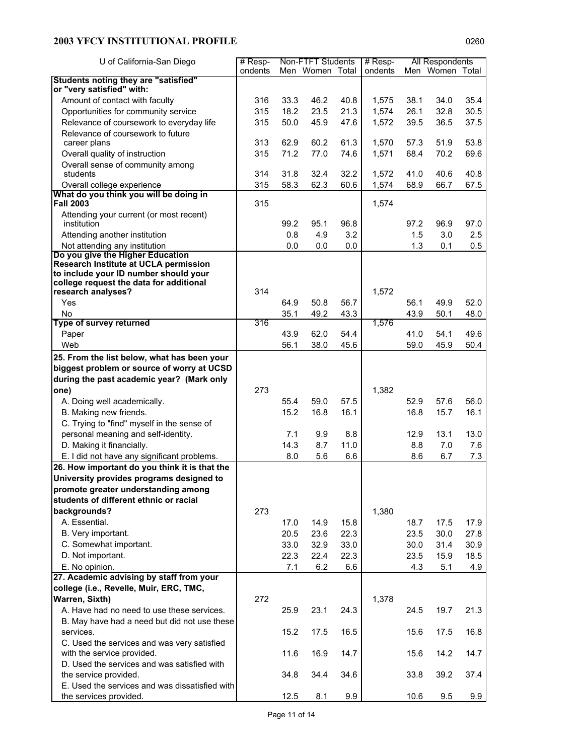| U of California-San Diego                                                        | Non-FTFT Students<br>$#$ Resp- |      |                 | $#$ Resp- |         | All Respondents |                 |      |
|----------------------------------------------------------------------------------|--------------------------------|------|-----------------|-----------|---------|-----------------|-----------------|------|
|                                                                                  | ondents                        |      | Men Women Total |           | ondents |                 | Men Women Total |      |
| Students noting they are "satisfied"<br>or "very satisfied" with:                |                                |      |                 |           |         |                 |                 |      |
| Amount of contact with faculty                                                   | 316                            | 33.3 | 46.2            | 40.8      | 1,575   | 38.1            | 34.0            | 35.4 |
| Opportunities for community service                                              | 315                            | 18.2 | 23.5            | 21.3      | 1,574   | 26.1            | 32.8            | 30.5 |
| Relevance of coursework to everyday life                                         | 315                            | 50.0 | 45.9            | 47.6      | 1,572   | 39.5            | 36.5            | 37.5 |
| Relevance of coursework to future                                                |                                |      |                 |           |         |                 |                 |      |
| career plans                                                                     | 313                            | 62.9 | 60.2            | 61.3      | 1,570   | 57.3            | 51.9            | 53.8 |
| Overall quality of instruction                                                   | 315                            | 71.2 | 77.0            | 74.6      | 1,571   | 68.4            | 70.2            | 69.6 |
| Overall sense of community among                                                 |                                |      |                 |           |         |                 |                 |      |
| students                                                                         | 314                            | 31.8 | 32.4            | 32.2      | 1,572   | 41.0            | 40.6            | 40.8 |
| Overall college experience<br>What do you think you will be doing in             | 315                            | 58.3 | 62.3            | 60.6      | 1,574   | 68.9            | 66.7            | 67.5 |
| <b>Fall 2003</b>                                                                 | 315                            |      |                 |           | 1,574   |                 |                 |      |
| Attending your current (or most recent)                                          |                                |      |                 |           |         |                 |                 |      |
| institution                                                                      |                                | 99.2 | 95.1            | 96.8      |         | 97.2            | 96.9            | 97.0 |
| Attending another institution                                                    |                                | 0.8  | 4.9             | 3.2       |         | 1.5             | 3.0             | 2.5  |
| Not attending any institution                                                    |                                | 0.0  | 0.0             | 0.0       |         | 1.3             | 0.1             | 0.5  |
| Do you give the Higher Education                                                 |                                |      |                 |           |         |                 |                 |      |
| Research Institute at UCLA permission                                            |                                |      |                 |           |         |                 |                 |      |
| to include your ID number should your<br>college request the data for additional |                                |      |                 |           |         |                 |                 |      |
| research analyses?                                                               | 314                            |      |                 |           | 1,572   |                 |                 |      |
| Yes                                                                              |                                | 64.9 | 50.8            | 56.7      |         | 56.1            | 49.9            | 52.0 |
| No                                                                               |                                | 35.1 | 49.2            | 43.3      |         | 43.9            | 50.1            | 48.0 |
| Type of survey returned                                                          | 316                            |      |                 |           | 1,576   |                 |                 |      |
| Paper                                                                            |                                | 43.9 | 62.0            | 54.4      |         | 41.0            | 54.1            | 49.6 |
| Web                                                                              |                                | 56.1 | 38.0            | 45.6      |         | 59.0            | 45.9            | 50.4 |
| 25. From the list below, what has been your                                      |                                |      |                 |           |         |                 |                 |      |
| biggest problem or source of worry at UCSD                                       |                                |      |                 |           |         |                 |                 |      |
| during the past academic year? (Mark only                                        |                                |      |                 |           |         |                 |                 |      |
| one)                                                                             | 273                            |      |                 |           | 1,382   |                 |                 |      |
| A. Doing well academically.                                                      |                                | 55.4 | 59.0            | 57.5      |         | 52.9            | 57.6            | 56.0 |
| B. Making new friends.                                                           |                                | 15.2 | 16.8            | 16.1      |         | 16.8            | 15.7            | 16.1 |
| C. Trying to "find" myself in the sense of                                       |                                |      |                 |           |         |                 |                 |      |
| personal meaning and self-identity.                                              |                                | 7.1  | 9.9             | 8.8       |         | 12.9            | 13.1            | 13.0 |
| D. Making it financially.                                                        |                                | 14.3 | 8.7             | 11.0      |         | 8.8             | 7.0             | 7.6  |
| E. I did not have any significant problems.                                      |                                | 8.0  | 5.6             | 6.6       |         | 8.6             | 6.7             | 7.3  |
| 26. How important do you think it is that the                                    |                                |      |                 |           |         |                 |                 |      |
| University provides programs designed to                                         |                                |      |                 |           |         |                 |                 |      |
| promote greater understanding among                                              |                                |      |                 |           |         |                 |                 |      |
| students of different ethnic or racial                                           |                                |      |                 |           |         |                 |                 |      |
| backgrounds?                                                                     | 273                            |      |                 |           | 1,380   |                 |                 |      |
| A. Essential.                                                                    |                                | 17.0 | 14.9            | 15.8      |         | 18.7            | 17.5            | 17.9 |
| B. Very important.                                                               |                                | 20.5 | 23.6            | 22.3      |         | 23.5            | 30.0            | 27.8 |
| C. Somewhat important.                                                           |                                | 33.0 | 32.9            | 33.0      |         | 30.0            | 31.4            | 30.9 |
| D. Not important.                                                                |                                | 22.3 | 22.4            | 22.3      |         | 23.5            | 15.9            | 18.5 |
| E. No opinion.                                                                   |                                | 7.1  | 6.2             | 6.6       |         | 4.3             | 5.1             | 4.9  |
| 27. Academic advising by staff from your                                         |                                |      |                 |           |         |                 |                 |      |
| college (i.e., Revelle, Muir, ERC, TMC,                                          |                                |      |                 |           |         |                 |                 |      |
| <b>Warren, Sixth)</b>                                                            | 272                            |      |                 |           | 1,378   |                 |                 |      |
| A. Have had no need to use these services.                                       |                                | 25.9 | 23.1            | 24.3      |         | 24.5            | 19.7            | 21.3 |
| B. May have had a need but did not use these                                     |                                |      |                 |           |         |                 |                 |      |
| services.                                                                        |                                | 15.2 | 17.5            | 16.5      |         | 15.6            | 17.5            | 16.8 |
| C. Used the services and was very satisfied                                      |                                |      |                 |           |         |                 |                 |      |
| with the service provided.                                                       |                                | 11.6 | 16.9            | 14.7      |         | 15.6            | 14.2            | 14.7 |
| D. Used the services and was satisfied with                                      |                                |      |                 |           |         |                 |                 |      |
| the service provided.                                                            |                                | 34.8 | 34.4            | 34.6      |         | 33.8            | 39.2            | 37.4 |
| E. Used the services and was dissatisfied with                                   |                                |      |                 |           |         |                 |                 |      |
| the services provided.                                                           |                                | 12.5 | 8.1             | 9.9       |         | 10.6            | 9.5             | 9.9  |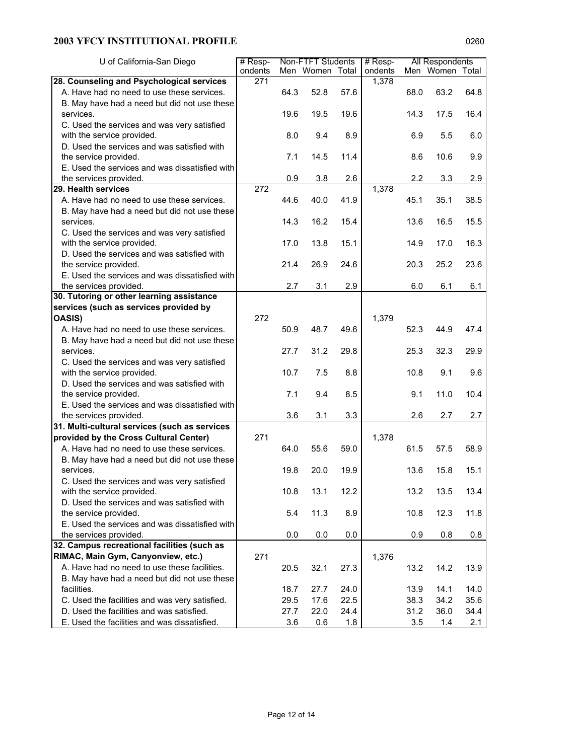| U of California-San Diego                      | $#$ Resp-        |      | Non-FTFT Students |      | $#$ Resp- |      | All Respondents |      |
|------------------------------------------------|------------------|------|-------------------|------|-----------|------|-----------------|------|
|                                                | ondents          |      | Men Women Total   |      | ondents   |      | Men Women Total |      |
| 28. Counseling and Psychological services      | 271              |      |                   |      | 1,378     |      |                 |      |
| A. Have had no need to use these services.     |                  | 64.3 | 52.8              | 57.6 |           | 68.0 | 63.2            | 64.8 |
| B. May have had a need but did not use these   |                  |      |                   |      |           |      |                 |      |
| services.                                      |                  | 19.6 | 19.5              | 19.6 |           | 14.3 | 17.5            | 16.4 |
| C. Used the services and was very satisfied    |                  |      |                   |      |           |      |                 |      |
| with the service provided.                     |                  | 8.0  | 9.4               | 8.9  |           | 6.9  | 5.5             | 6.0  |
| D. Used the services and was satisfied with    |                  |      |                   |      |           |      |                 |      |
| the service provided.                          |                  | 7.1  | 14.5              | 11.4 |           | 8.6  | 10.6            | 9.9  |
| E. Used the services and was dissatisfied with |                  |      |                   |      |           |      |                 |      |
| the services provided.                         |                  | 0.9  | 3.8               | 2.6  |           | 2.2  | 3.3             | 2.9  |
| 29. Health services                            | $\overline{272}$ |      |                   |      | 1,378     |      |                 |      |
| A. Have had no need to use these services.     |                  | 44.6 | 40.0              | 41.9 |           | 45.1 | 35.1            | 38.5 |
| B. May have had a need but did not use these   |                  |      |                   |      |           |      |                 |      |
| services.                                      |                  | 14.3 | 16.2              | 15.4 |           | 13.6 | 16.5            | 15.5 |
| C. Used the services and was very satisfied    |                  |      |                   |      |           |      |                 |      |
| with the service provided.                     |                  | 17.0 | 13.8              | 15.1 |           | 14.9 | 17.0            | 16.3 |
| D. Used the services and was satisfied with    |                  |      |                   |      |           |      |                 |      |
| the service provided.                          |                  | 21.4 | 26.9              | 24.6 |           | 20.3 | 25.2            | 23.6 |
| E. Used the services and was dissatisfied with |                  |      |                   |      |           |      |                 |      |
| the services provided.                         |                  | 2.7  | 3.1               | 2.9  |           | 6.0  | 6.1             | 6.1  |
| 30. Tutoring or other learning assistance      |                  |      |                   |      |           |      |                 |      |
| services (such as services provided by         |                  |      |                   |      |           |      |                 |      |
| <b>OASIS)</b>                                  | 272              |      |                   |      | 1,379     |      |                 |      |
| A. Have had no need to use these services.     |                  | 50.9 | 48.7              | 49.6 |           | 52.3 | 44.9            | 47.4 |
| B. May have had a need but did not use these   |                  |      |                   |      |           |      |                 |      |
| services.                                      |                  | 27.7 | 31.2              | 29.8 |           | 25.3 | 32.3            | 29.9 |
| C. Used the services and was very satisfied    |                  |      |                   |      |           |      |                 |      |
| with the service provided.                     |                  | 10.7 | 7.5               | 8.8  |           | 10.8 | 9.1             | 9.6  |
| D. Used the services and was satisfied with    |                  |      |                   |      |           |      |                 |      |
| the service provided.                          |                  | 7.1  | 9.4               | 8.5  |           | 9.1  | 11.0            | 10.4 |
| E. Used the services and was dissatisfied with |                  |      |                   |      |           |      |                 |      |
| the services provided.                         |                  | 3.6  | 3.1               | 3.3  |           | 2.6  | 2.7             | 2.7  |
| 31. Multi-cultural services (such as services  |                  |      |                   |      |           |      |                 |      |
| provided by the Cross Cultural Center)         | 271              |      |                   |      | 1,378     |      |                 |      |
| A. Have had no need to use these services.     |                  | 64.0 | 55.6              | 59.0 |           | 61.5 | 57.5            | 58.9 |
| B. May have had a need but did not use these   |                  |      |                   |      |           |      |                 |      |
| services.                                      |                  | 19.8 | 20.0              | 19.9 |           | 13.6 | 15.8            | 15.1 |
| C. Used the services and was very satisfied    |                  |      |                   |      |           |      |                 |      |
| with the service provided.                     |                  | 10.8 | 13.1              | 12.2 |           | 13.2 | 13.5            | 13.4 |
| D. Used the services and was satisfied with    |                  |      |                   |      |           |      |                 |      |
| the service provided.                          |                  | 5.4  | 11.3              | 8.9  |           | 10.8 | 12.3            | 11.8 |
| E. Used the services and was dissatisfied with |                  |      |                   |      |           |      |                 |      |
| the services provided.                         |                  | 0.0  | 0.0               | 0.0  |           | 0.9  | 0.8             | 0.8  |
| 32. Campus recreational facilities (such as    |                  |      |                   |      |           |      |                 |      |
| RIMAC, Main Gym, Canyonview, etc.)             | 271              |      |                   |      | 1,376     |      |                 |      |
| A. Have had no need to use these facilities.   |                  | 20.5 | 32.1              | 27.3 |           | 13.2 | 14.2            | 13.9 |
| B. May have had a need but did not use these   |                  |      |                   |      |           |      |                 |      |
| facilities.                                    |                  | 18.7 | 27.7              | 24.0 |           | 13.9 | 14.1            | 14.0 |
| C. Used the facilities and was very satisfied. |                  | 29.5 | 17.6              | 22.5 |           | 38.3 | 34.2            | 35.6 |
| D. Used the facilities and was satisfied.      |                  | 27.7 | 22.0              | 24.4 |           | 31.2 | 36.0            | 34.4 |
| E. Used the facilities and was dissatisfied.   |                  | 3.6  | 0.6               | 1.8  |           | 3.5  | 1.4             | 2.1  |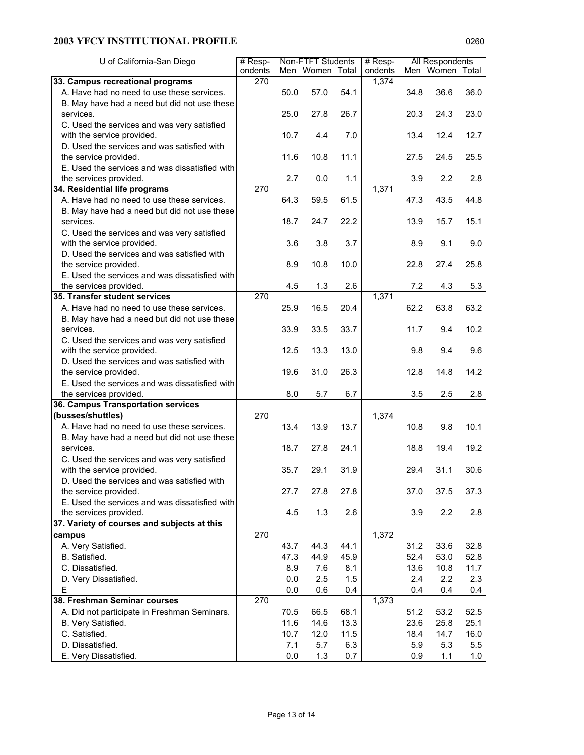| Men Women Total<br>Men Women Total<br>ondents<br>1,374<br>33. Campus recreational programs<br>270<br>A. Have had no need to use these services.<br>36.0<br>50.0<br>57.0<br>54.1<br>36.6<br>34.8<br>B. May have had a need but did not use these<br>23.0<br>25.0<br>27.8<br>26.7<br>20.3<br>24.3<br>services.<br>C. Used the services and was very satisfied<br>with the service provided.<br>10.7<br>7.0<br>12.7<br>4.4<br>13.4<br>12.4<br>D. Used the services and was satisfied with<br>the service provided.<br>11.6<br>10.8<br>11.1<br>27.5<br>24.5<br>25.5<br>E. Used the services and was dissatisfied with<br>1.1<br>2.2<br>the services provided.<br>2.7<br>0.0<br>3.9<br>2.8<br>1,371<br>270<br>34. Residential life programs<br>A. Have had no need to use these services.<br>64.3<br>59.5<br>61.5<br>43.5<br>47.3<br>44.8<br>B. May have had a need but did not use these<br>18.7<br>24.7<br>22.2<br>13.9<br>15.1<br>services.<br>15.7<br>C. Used the services and was very satisfied<br>with the service provided.<br>3.6<br>3.8<br>3.7<br>8.9<br>9.1<br>9.0<br>D. Used the services and was satisfied with<br>the service provided.<br>8.9<br>10.8<br>10.0<br>22.8<br>27.4<br>25.8<br>E. Used the services and was dissatisfied with<br>4.5<br>1.3<br>2.6<br>4.3<br>5.3<br>the services provided.<br>7.2<br>1,371<br>35. Transfer student services<br>270<br>25.9<br>20.4<br>63.2<br>A. Have had no need to use these services.<br>16.5<br>62.2<br>63.8<br>B. May have had a need but did not use these<br>services.<br>10.2<br>33.9<br>33.5<br>33.7<br>11.7<br>9.4<br>C. Used the services and was very satisfied<br>with the service provided.<br>12.5<br>13.3<br>13.0<br>9.4<br>9.6<br>9.8<br>D. Used the services and was satisfied with<br>the service provided.<br>19.6<br>31.0<br>26.3<br>12.8<br>14.2<br>14.8<br>E. Used the services and was dissatisfied with<br>8.0<br>6.7<br>2.8<br>the services provided.<br>5.7<br>3.5<br>2.5<br>36. Campus Transportation services<br>(busses/shuttles)<br>270<br>1,374<br>A. Have had no need to use these services.<br>13.4<br>13.9<br>13.7<br>10.8<br>9.8<br>10.1<br>B. May have had a need but did not use these<br>services.<br>27.8<br>19.2<br>18.7<br>24.1<br>18.8<br>19.4<br>C. Used the services and was very satisfied<br>29.1<br>30.6<br>with the service provided.<br>35.7<br>31.9<br>29.4<br>31.1<br>D. Used the services and was satisfied with<br>27.7<br>27.8<br>27.8<br>37.0<br>37.5<br>37.3<br>the service provided.<br>E. Used the services and was dissatisfied with<br>2.6<br>2.8<br>the services provided.<br>4.5<br>1.3<br>3.9<br>2.2<br>37. Variety of courses and subjects at this<br>270<br>1,372<br>campus<br>A. Very Satisfied.<br>44.1<br>33.6<br>32.8<br>43.7<br>44.3<br>31.2<br>B. Satisfied.<br>47.3<br>44.9<br>52.4<br>53.0<br>52.8<br>45.9<br>C. Dissatisfied.<br>8.9<br>7.6<br>8.1<br>13.6<br>10.8<br>11.7<br>D. Very Dissatisfied.<br>$0.0\,$<br>2.5<br>1.5<br>2.4<br>2.2<br>2.3<br>Е<br>0.0<br>0.6<br>0.4<br>0.4<br>0.4<br>0.4<br>38. Freshman Seminar courses<br>270<br>1,373<br>66.5<br>68.1<br>52.5<br>A. Did not participate in Freshman Seminars.<br>70.5<br>51.2<br>53.2<br>25.8<br>B. Very Satisfied.<br>11.6<br>14.6<br>13.3<br>23.6<br>25.1<br>C. Satisfied.<br>10.7<br>12.0<br>11.5<br>18.4<br>14.7<br>16.0<br>D. Dissatisfied.<br>7.1<br>5.7<br>6.3<br>5.9<br>5.3<br>5.5 | U of California-San Diego | $#$ Resp- |         | Non-FTFT Students |     | # Resp- |     | All Respondents |     |
|--------------------------------------------------------------------------------------------------------------------------------------------------------------------------------------------------------------------------------------------------------------------------------------------------------------------------------------------------------------------------------------------------------------------------------------------------------------------------------------------------------------------------------------------------------------------------------------------------------------------------------------------------------------------------------------------------------------------------------------------------------------------------------------------------------------------------------------------------------------------------------------------------------------------------------------------------------------------------------------------------------------------------------------------------------------------------------------------------------------------------------------------------------------------------------------------------------------------------------------------------------------------------------------------------------------------------------------------------------------------------------------------------------------------------------------------------------------------------------------------------------------------------------------------------------------------------------------------------------------------------------------------------------------------------------------------------------------------------------------------------------------------------------------------------------------------------------------------------------------------------------------------------------------------------------------------------------------------------------------------------------------------------------------------------------------------------------------------------------------------------------------------------------------------------------------------------------------------------------------------------------------------------------------------------------------------------------------------------------------------------------------------------------------------------------------------------------------------------------------------------------------------------------------------------------------------------------------------------------------------------------------------------------------------------------------------------------------------------------------------------------------------------------------------------------------------------------------------------------------------------------------------------------------------------------------------------------------------------------------------------------------------------------------------------------------------------------------------------------------------------------------------------------------------------------------------------------------------------------------------------------------------------------------------------------------------------------------------------------------------------------------|---------------------------|-----------|---------|-------------------|-----|---------|-----|-----------------|-----|
|                                                                                                                                                                                                                                                                                                                                                                                                                                                                                                                                                                                                                                                                                                                                                                                                                                                                                                                                                                                                                                                                                                                                                                                                                                                                                                                                                                                                                                                                                                                                                                                                                                                                                                                                                                                                                                                                                                                                                                                                                                                                                                                                                                                                                                                                                                                                                                                                                                                                                                                                                                                                                                                                                                                                                                                                                                                                                                                                                                                                                                                                                                                                                                                                                                                                                                                                                                                      |                           | ondents   |         |                   |     |         |     |                 |     |
|                                                                                                                                                                                                                                                                                                                                                                                                                                                                                                                                                                                                                                                                                                                                                                                                                                                                                                                                                                                                                                                                                                                                                                                                                                                                                                                                                                                                                                                                                                                                                                                                                                                                                                                                                                                                                                                                                                                                                                                                                                                                                                                                                                                                                                                                                                                                                                                                                                                                                                                                                                                                                                                                                                                                                                                                                                                                                                                                                                                                                                                                                                                                                                                                                                                                                                                                                                                      |                           |           |         |                   |     |         |     |                 |     |
|                                                                                                                                                                                                                                                                                                                                                                                                                                                                                                                                                                                                                                                                                                                                                                                                                                                                                                                                                                                                                                                                                                                                                                                                                                                                                                                                                                                                                                                                                                                                                                                                                                                                                                                                                                                                                                                                                                                                                                                                                                                                                                                                                                                                                                                                                                                                                                                                                                                                                                                                                                                                                                                                                                                                                                                                                                                                                                                                                                                                                                                                                                                                                                                                                                                                                                                                                                                      |                           |           |         |                   |     |         |     |                 |     |
|                                                                                                                                                                                                                                                                                                                                                                                                                                                                                                                                                                                                                                                                                                                                                                                                                                                                                                                                                                                                                                                                                                                                                                                                                                                                                                                                                                                                                                                                                                                                                                                                                                                                                                                                                                                                                                                                                                                                                                                                                                                                                                                                                                                                                                                                                                                                                                                                                                                                                                                                                                                                                                                                                                                                                                                                                                                                                                                                                                                                                                                                                                                                                                                                                                                                                                                                                                                      |                           |           |         |                   |     |         |     |                 |     |
|                                                                                                                                                                                                                                                                                                                                                                                                                                                                                                                                                                                                                                                                                                                                                                                                                                                                                                                                                                                                                                                                                                                                                                                                                                                                                                                                                                                                                                                                                                                                                                                                                                                                                                                                                                                                                                                                                                                                                                                                                                                                                                                                                                                                                                                                                                                                                                                                                                                                                                                                                                                                                                                                                                                                                                                                                                                                                                                                                                                                                                                                                                                                                                                                                                                                                                                                                                                      |                           |           |         |                   |     |         |     |                 |     |
|                                                                                                                                                                                                                                                                                                                                                                                                                                                                                                                                                                                                                                                                                                                                                                                                                                                                                                                                                                                                                                                                                                                                                                                                                                                                                                                                                                                                                                                                                                                                                                                                                                                                                                                                                                                                                                                                                                                                                                                                                                                                                                                                                                                                                                                                                                                                                                                                                                                                                                                                                                                                                                                                                                                                                                                                                                                                                                                                                                                                                                                                                                                                                                                                                                                                                                                                                                                      |                           |           |         |                   |     |         |     |                 |     |
|                                                                                                                                                                                                                                                                                                                                                                                                                                                                                                                                                                                                                                                                                                                                                                                                                                                                                                                                                                                                                                                                                                                                                                                                                                                                                                                                                                                                                                                                                                                                                                                                                                                                                                                                                                                                                                                                                                                                                                                                                                                                                                                                                                                                                                                                                                                                                                                                                                                                                                                                                                                                                                                                                                                                                                                                                                                                                                                                                                                                                                                                                                                                                                                                                                                                                                                                                                                      |                           |           |         |                   |     |         |     |                 |     |
|                                                                                                                                                                                                                                                                                                                                                                                                                                                                                                                                                                                                                                                                                                                                                                                                                                                                                                                                                                                                                                                                                                                                                                                                                                                                                                                                                                                                                                                                                                                                                                                                                                                                                                                                                                                                                                                                                                                                                                                                                                                                                                                                                                                                                                                                                                                                                                                                                                                                                                                                                                                                                                                                                                                                                                                                                                                                                                                                                                                                                                                                                                                                                                                                                                                                                                                                                                                      |                           |           |         |                   |     |         |     |                 |     |
|                                                                                                                                                                                                                                                                                                                                                                                                                                                                                                                                                                                                                                                                                                                                                                                                                                                                                                                                                                                                                                                                                                                                                                                                                                                                                                                                                                                                                                                                                                                                                                                                                                                                                                                                                                                                                                                                                                                                                                                                                                                                                                                                                                                                                                                                                                                                                                                                                                                                                                                                                                                                                                                                                                                                                                                                                                                                                                                                                                                                                                                                                                                                                                                                                                                                                                                                                                                      |                           |           |         |                   |     |         |     |                 |     |
|                                                                                                                                                                                                                                                                                                                                                                                                                                                                                                                                                                                                                                                                                                                                                                                                                                                                                                                                                                                                                                                                                                                                                                                                                                                                                                                                                                                                                                                                                                                                                                                                                                                                                                                                                                                                                                                                                                                                                                                                                                                                                                                                                                                                                                                                                                                                                                                                                                                                                                                                                                                                                                                                                                                                                                                                                                                                                                                                                                                                                                                                                                                                                                                                                                                                                                                                                                                      |                           |           |         |                   |     |         |     |                 |     |
|                                                                                                                                                                                                                                                                                                                                                                                                                                                                                                                                                                                                                                                                                                                                                                                                                                                                                                                                                                                                                                                                                                                                                                                                                                                                                                                                                                                                                                                                                                                                                                                                                                                                                                                                                                                                                                                                                                                                                                                                                                                                                                                                                                                                                                                                                                                                                                                                                                                                                                                                                                                                                                                                                                                                                                                                                                                                                                                                                                                                                                                                                                                                                                                                                                                                                                                                                                                      |                           |           |         |                   |     |         |     |                 |     |
|                                                                                                                                                                                                                                                                                                                                                                                                                                                                                                                                                                                                                                                                                                                                                                                                                                                                                                                                                                                                                                                                                                                                                                                                                                                                                                                                                                                                                                                                                                                                                                                                                                                                                                                                                                                                                                                                                                                                                                                                                                                                                                                                                                                                                                                                                                                                                                                                                                                                                                                                                                                                                                                                                                                                                                                                                                                                                                                                                                                                                                                                                                                                                                                                                                                                                                                                                                                      |                           |           |         |                   |     |         |     |                 |     |
|                                                                                                                                                                                                                                                                                                                                                                                                                                                                                                                                                                                                                                                                                                                                                                                                                                                                                                                                                                                                                                                                                                                                                                                                                                                                                                                                                                                                                                                                                                                                                                                                                                                                                                                                                                                                                                                                                                                                                                                                                                                                                                                                                                                                                                                                                                                                                                                                                                                                                                                                                                                                                                                                                                                                                                                                                                                                                                                                                                                                                                                                                                                                                                                                                                                                                                                                                                                      |                           |           |         |                   |     |         |     |                 |     |
|                                                                                                                                                                                                                                                                                                                                                                                                                                                                                                                                                                                                                                                                                                                                                                                                                                                                                                                                                                                                                                                                                                                                                                                                                                                                                                                                                                                                                                                                                                                                                                                                                                                                                                                                                                                                                                                                                                                                                                                                                                                                                                                                                                                                                                                                                                                                                                                                                                                                                                                                                                                                                                                                                                                                                                                                                                                                                                                                                                                                                                                                                                                                                                                                                                                                                                                                                                                      |                           |           |         |                   |     |         |     |                 |     |
|                                                                                                                                                                                                                                                                                                                                                                                                                                                                                                                                                                                                                                                                                                                                                                                                                                                                                                                                                                                                                                                                                                                                                                                                                                                                                                                                                                                                                                                                                                                                                                                                                                                                                                                                                                                                                                                                                                                                                                                                                                                                                                                                                                                                                                                                                                                                                                                                                                                                                                                                                                                                                                                                                                                                                                                                                                                                                                                                                                                                                                                                                                                                                                                                                                                                                                                                                                                      |                           |           |         |                   |     |         |     |                 |     |
|                                                                                                                                                                                                                                                                                                                                                                                                                                                                                                                                                                                                                                                                                                                                                                                                                                                                                                                                                                                                                                                                                                                                                                                                                                                                                                                                                                                                                                                                                                                                                                                                                                                                                                                                                                                                                                                                                                                                                                                                                                                                                                                                                                                                                                                                                                                                                                                                                                                                                                                                                                                                                                                                                                                                                                                                                                                                                                                                                                                                                                                                                                                                                                                                                                                                                                                                                                                      |                           |           |         |                   |     |         |     |                 |     |
|                                                                                                                                                                                                                                                                                                                                                                                                                                                                                                                                                                                                                                                                                                                                                                                                                                                                                                                                                                                                                                                                                                                                                                                                                                                                                                                                                                                                                                                                                                                                                                                                                                                                                                                                                                                                                                                                                                                                                                                                                                                                                                                                                                                                                                                                                                                                                                                                                                                                                                                                                                                                                                                                                                                                                                                                                                                                                                                                                                                                                                                                                                                                                                                                                                                                                                                                                                                      |                           |           |         |                   |     |         |     |                 |     |
|                                                                                                                                                                                                                                                                                                                                                                                                                                                                                                                                                                                                                                                                                                                                                                                                                                                                                                                                                                                                                                                                                                                                                                                                                                                                                                                                                                                                                                                                                                                                                                                                                                                                                                                                                                                                                                                                                                                                                                                                                                                                                                                                                                                                                                                                                                                                                                                                                                                                                                                                                                                                                                                                                                                                                                                                                                                                                                                                                                                                                                                                                                                                                                                                                                                                                                                                                                                      |                           |           |         |                   |     |         |     |                 |     |
|                                                                                                                                                                                                                                                                                                                                                                                                                                                                                                                                                                                                                                                                                                                                                                                                                                                                                                                                                                                                                                                                                                                                                                                                                                                                                                                                                                                                                                                                                                                                                                                                                                                                                                                                                                                                                                                                                                                                                                                                                                                                                                                                                                                                                                                                                                                                                                                                                                                                                                                                                                                                                                                                                                                                                                                                                                                                                                                                                                                                                                                                                                                                                                                                                                                                                                                                                                                      |                           |           |         |                   |     |         |     |                 |     |
|                                                                                                                                                                                                                                                                                                                                                                                                                                                                                                                                                                                                                                                                                                                                                                                                                                                                                                                                                                                                                                                                                                                                                                                                                                                                                                                                                                                                                                                                                                                                                                                                                                                                                                                                                                                                                                                                                                                                                                                                                                                                                                                                                                                                                                                                                                                                                                                                                                                                                                                                                                                                                                                                                                                                                                                                                                                                                                                                                                                                                                                                                                                                                                                                                                                                                                                                                                                      |                           |           |         |                   |     |         |     |                 |     |
|                                                                                                                                                                                                                                                                                                                                                                                                                                                                                                                                                                                                                                                                                                                                                                                                                                                                                                                                                                                                                                                                                                                                                                                                                                                                                                                                                                                                                                                                                                                                                                                                                                                                                                                                                                                                                                                                                                                                                                                                                                                                                                                                                                                                                                                                                                                                                                                                                                                                                                                                                                                                                                                                                                                                                                                                                                                                                                                                                                                                                                                                                                                                                                                                                                                                                                                                                                                      |                           |           |         |                   |     |         |     |                 |     |
|                                                                                                                                                                                                                                                                                                                                                                                                                                                                                                                                                                                                                                                                                                                                                                                                                                                                                                                                                                                                                                                                                                                                                                                                                                                                                                                                                                                                                                                                                                                                                                                                                                                                                                                                                                                                                                                                                                                                                                                                                                                                                                                                                                                                                                                                                                                                                                                                                                                                                                                                                                                                                                                                                                                                                                                                                                                                                                                                                                                                                                                                                                                                                                                                                                                                                                                                                                                      |                           |           |         |                   |     |         |     |                 |     |
|                                                                                                                                                                                                                                                                                                                                                                                                                                                                                                                                                                                                                                                                                                                                                                                                                                                                                                                                                                                                                                                                                                                                                                                                                                                                                                                                                                                                                                                                                                                                                                                                                                                                                                                                                                                                                                                                                                                                                                                                                                                                                                                                                                                                                                                                                                                                                                                                                                                                                                                                                                                                                                                                                                                                                                                                                                                                                                                                                                                                                                                                                                                                                                                                                                                                                                                                                                                      |                           |           |         |                   |     |         |     |                 |     |
|                                                                                                                                                                                                                                                                                                                                                                                                                                                                                                                                                                                                                                                                                                                                                                                                                                                                                                                                                                                                                                                                                                                                                                                                                                                                                                                                                                                                                                                                                                                                                                                                                                                                                                                                                                                                                                                                                                                                                                                                                                                                                                                                                                                                                                                                                                                                                                                                                                                                                                                                                                                                                                                                                                                                                                                                                                                                                                                                                                                                                                                                                                                                                                                                                                                                                                                                                                                      |                           |           |         |                   |     |         |     |                 |     |
|                                                                                                                                                                                                                                                                                                                                                                                                                                                                                                                                                                                                                                                                                                                                                                                                                                                                                                                                                                                                                                                                                                                                                                                                                                                                                                                                                                                                                                                                                                                                                                                                                                                                                                                                                                                                                                                                                                                                                                                                                                                                                                                                                                                                                                                                                                                                                                                                                                                                                                                                                                                                                                                                                                                                                                                                                                                                                                                                                                                                                                                                                                                                                                                                                                                                                                                                                                                      |                           |           |         |                   |     |         |     |                 |     |
|                                                                                                                                                                                                                                                                                                                                                                                                                                                                                                                                                                                                                                                                                                                                                                                                                                                                                                                                                                                                                                                                                                                                                                                                                                                                                                                                                                                                                                                                                                                                                                                                                                                                                                                                                                                                                                                                                                                                                                                                                                                                                                                                                                                                                                                                                                                                                                                                                                                                                                                                                                                                                                                                                                                                                                                                                                                                                                                                                                                                                                                                                                                                                                                                                                                                                                                                                                                      |                           |           |         |                   |     |         |     |                 |     |
|                                                                                                                                                                                                                                                                                                                                                                                                                                                                                                                                                                                                                                                                                                                                                                                                                                                                                                                                                                                                                                                                                                                                                                                                                                                                                                                                                                                                                                                                                                                                                                                                                                                                                                                                                                                                                                                                                                                                                                                                                                                                                                                                                                                                                                                                                                                                                                                                                                                                                                                                                                                                                                                                                                                                                                                                                                                                                                                                                                                                                                                                                                                                                                                                                                                                                                                                                                                      |                           |           |         |                   |     |         |     |                 |     |
|                                                                                                                                                                                                                                                                                                                                                                                                                                                                                                                                                                                                                                                                                                                                                                                                                                                                                                                                                                                                                                                                                                                                                                                                                                                                                                                                                                                                                                                                                                                                                                                                                                                                                                                                                                                                                                                                                                                                                                                                                                                                                                                                                                                                                                                                                                                                                                                                                                                                                                                                                                                                                                                                                                                                                                                                                                                                                                                                                                                                                                                                                                                                                                                                                                                                                                                                                                                      |                           |           |         |                   |     |         |     |                 |     |
|                                                                                                                                                                                                                                                                                                                                                                                                                                                                                                                                                                                                                                                                                                                                                                                                                                                                                                                                                                                                                                                                                                                                                                                                                                                                                                                                                                                                                                                                                                                                                                                                                                                                                                                                                                                                                                                                                                                                                                                                                                                                                                                                                                                                                                                                                                                                                                                                                                                                                                                                                                                                                                                                                                                                                                                                                                                                                                                                                                                                                                                                                                                                                                                                                                                                                                                                                                                      |                           |           |         |                   |     |         |     |                 |     |
|                                                                                                                                                                                                                                                                                                                                                                                                                                                                                                                                                                                                                                                                                                                                                                                                                                                                                                                                                                                                                                                                                                                                                                                                                                                                                                                                                                                                                                                                                                                                                                                                                                                                                                                                                                                                                                                                                                                                                                                                                                                                                                                                                                                                                                                                                                                                                                                                                                                                                                                                                                                                                                                                                                                                                                                                                                                                                                                                                                                                                                                                                                                                                                                                                                                                                                                                                                                      |                           |           |         |                   |     |         |     |                 |     |
|                                                                                                                                                                                                                                                                                                                                                                                                                                                                                                                                                                                                                                                                                                                                                                                                                                                                                                                                                                                                                                                                                                                                                                                                                                                                                                                                                                                                                                                                                                                                                                                                                                                                                                                                                                                                                                                                                                                                                                                                                                                                                                                                                                                                                                                                                                                                                                                                                                                                                                                                                                                                                                                                                                                                                                                                                                                                                                                                                                                                                                                                                                                                                                                                                                                                                                                                                                                      |                           |           |         |                   |     |         |     |                 |     |
|                                                                                                                                                                                                                                                                                                                                                                                                                                                                                                                                                                                                                                                                                                                                                                                                                                                                                                                                                                                                                                                                                                                                                                                                                                                                                                                                                                                                                                                                                                                                                                                                                                                                                                                                                                                                                                                                                                                                                                                                                                                                                                                                                                                                                                                                                                                                                                                                                                                                                                                                                                                                                                                                                                                                                                                                                                                                                                                                                                                                                                                                                                                                                                                                                                                                                                                                                                                      |                           |           |         |                   |     |         |     |                 |     |
|                                                                                                                                                                                                                                                                                                                                                                                                                                                                                                                                                                                                                                                                                                                                                                                                                                                                                                                                                                                                                                                                                                                                                                                                                                                                                                                                                                                                                                                                                                                                                                                                                                                                                                                                                                                                                                                                                                                                                                                                                                                                                                                                                                                                                                                                                                                                                                                                                                                                                                                                                                                                                                                                                                                                                                                                                                                                                                                                                                                                                                                                                                                                                                                                                                                                                                                                                                                      |                           |           |         |                   |     |         |     |                 |     |
|                                                                                                                                                                                                                                                                                                                                                                                                                                                                                                                                                                                                                                                                                                                                                                                                                                                                                                                                                                                                                                                                                                                                                                                                                                                                                                                                                                                                                                                                                                                                                                                                                                                                                                                                                                                                                                                                                                                                                                                                                                                                                                                                                                                                                                                                                                                                                                                                                                                                                                                                                                                                                                                                                                                                                                                                                                                                                                                                                                                                                                                                                                                                                                                                                                                                                                                                                                                      |                           |           |         |                   |     |         |     |                 |     |
|                                                                                                                                                                                                                                                                                                                                                                                                                                                                                                                                                                                                                                                                                                                                                                                                                                                                                                                                                                                                                                                                                                                                                                                                                                                                                                                                                                                                                                                                                                                                                                                                                                                                                                                                                                                                                                                                                                                                                                                                                                                                                                                                                                                                                                                                                                                                                                                                                                                                                                                                                                                                                                                                                                                                                                                                                                                                                                                                                                                                                                                                                                                                                                                                                                                                                                                                                                                      |                           |           |         |                   |     |         |     |                 |     |
|                                                                                                                                                                                                                                                                                                                                                                                                                                                                                                                                                                                                                                                                                                                                                                                                                                                                                                                                                                                                                                                                                                                                                                                                                                                                                                                                                                                                                                                                                                                                                                                                                                                                                                                                                                                                                                                                                                                                                                                                                                                                                                                                                                                                                                                                                                                                                                                                                                                                                                                                                                                                                                                                                                                                                                                                                                                                                                                                                                                                                                                                                                                                                                                                                                                                                                                                                                                      |                           |           |         |                   |     |         |     |                 |     |
|                                                                                                                                                                                                                                                                                                                                                                                                                                                                                                                                                                                                                                                                                                                                                                                                                                                                                                                                                                                                                                                                                                                                                                                                                                                                                                                                                                                                                                                                                                                                                                                                                                                                                                                                                                                                                                                                                                                                                                                                                                                                                                                                                                                                                                                                                                                                                                                                                                                                                                                                                                                                                                                                                                                                                                                                                                                                                                                                                                                                                                                                                                                                                                                                                                                                                                                                                                                      |                           |           |         |                   |     |         |     |                 |     |
|                                                                                                                                                                                                                                                                                                                                                                                                                                                                                                                                                                                                                                                                                                                                                                                                                                                                                                                                                                                                                                                                                                                                                                                                                                                                                                                                                                                                                                                                                                                                                                                                                                                                                                                                                                                                                                                                                                                                                                                                                                                                                                                                                                                                                                                                                                                                                                                                                                                                                                                                                                                                                                                                                                                                                                                                                                                                                                                                                                                                                                                                                                                                                                                                                                                                                                                                                                                      |                           |           |         |                   |     |         |     |                 |     |
|                                                                                                                                                                                                                                                                                                                                                                                                                                                                                                                                                                                                                                                                                                                                                                                                                                                                                                                                                                                                                                                                                                                                                                                                                                                                                                                                                                                                                                                                                                                                                                                                                                                                                                                                                                                                                                                                                                                                                                                                                                                                                                                                                                                                                                                                                                                                                                                                                                                                                                                                                                                                                                                                                                                                                                                                                                                                                                                                                                                                                                                                                                                                                                                                                                                                                                                                                                                      |                           |           |         |                   |     |         |     |                 |     |
|                                                                                                                                                                                                                                                                                                                                                                                                                                                                                                                                                                                                                                                                                                                                                                                                                                                                                                                                                                                                                                                                                                                                                                                                                                                                                                                                                                                                                                                                                                                                                                                                                                                                                                                                                                                                                                                                                                                                                                                                                                                                                                                                                                                                                                                                                                                                                                                                                                                                                                                                                                                                                                                                                                                                                                                                                                                                                                                                                                                                                                                                                                                                                                                                                                                                                                                                                                                      |                           |           |         |                   |     |         |     |                 |     |
|                                                                                                                                                                                                                                                                                                                                                                                                                                                                                                                                                                                                                                                                                                                                                                                                                                                                                                                                                                                                                                                                                                                                                                                                                                                                                                                                                                                                                                                                                                                                                                                                                                                                                                                                                                                                                                                                                                                                                                                                                                                                                                                                                                                                                                                                                                                                                                                                                                                                                                                                                                                                                                                                                                                                                                                                                                                                                                                                                                                                                                                                                                                                                                                                                                                                                                                                                                                      |                           |           |         |                   |     |         |     |                 |     |
|                                                                                                                                                                                                                                                                                                                                                                                                                                                                                                                                                                                                                                                                                                                                                                                                                                                                                                                                                                                                                                                                                                                                                                                                                                                                                                                                                                                                                                                                                                                                                                                                                                                                                                                                                                                                                                                                                                                                                                                                                                                                                                                                                                                                                                                                                                                                                                                                                                                                                                                                                                                                                                                                                                                                                                                                                                                                                                                                                                                                                                                                                                                                                                                                                                                                                                                                                                                      |                           |           |         |                   |     |         |     |                 |     |
|                                                                                                                                                                                                                                                                                                                                                                                                                                                                                                                                                                                                                                                                                                                                                                                                                                                                                                                                                                                                                                                                                                                                                                                                                                                                                                                                                                                                                                                                                                                                                                                                                                                                                                                                                                                                                                                                                                                                                                                                                                                                                                                                                                                                                                                                                                                                                                                                                                                                                                                                                                                                                                                                                                                                                                                                                                                                                                                                                                                                                                                                                                                                                                                                                                                                                                                                                                                      |                           |           |         |                   |     |         |     |                 |     |
|                                                                                                                                                                                                                                                                                                                                                                                                                                                                                                                                                                                                                                                                                                                                                                                                                                                                                                                                                                                                                                                                                                                                                                                                                                                                                                                                                                                                                                                                                                                                                                                                                                                                                                                                                                                                                                                                                                                                                                                                                                                                                                                                                                                                                                                                                                                                                                                                                                                                                                                                                                                                                                                                                                                                                                                                                                                                                                                                                                                                                                                                                                                                                                                                                                                                                                                                                                                      |                           |           |         |                   |     |         |     |                 |     |
|                                                                                                                                                                                                                                                                                                                                                                                                                                                                                                                                                                                                                                                                                                                                                                                                                                                                                                                                                                                                                                                                                                                                                                                                                                                                                                                                                                                                                                                                                                                                                                                                                                                                                                                                                                                                                                                                                                                                                                                                                                                                                                                                                                                                                                                                                                                                                                                                                                                                                                                                                                                                                                                                                                                                                                                                                                                                                                                                                                                                                                                                                                                                                                                                                                                                                                                                                                                      |                           |           |         |                   |     |         |     |                 |     |
|                                                                                                                                                                                                                                                                                                                                                                                                                                                                                                                                                                                                                                                                                                                                                                                                                                                                                                                                                                                                                                                                                                                                                                                                                                                                                                                                                                                                                                                                                                                                                                                                                                                                                                                                                                                                                                                                                                                                                                                                                                                                                                                                                                                                                                                                                                                                                                                                                                                                                                                                                                                                                                                                                                                                                                                                                                                                                                                                                                                                                                                                                                                                                                                                                                                                                                                                                                                      |                           |           |         |                   |     |         |     |                 |     |
|                                                                                                                                                                                                                                                                                                                                                                                                                                                                                                                                                                                                                                                                                                                                                                                                                                                                                                                                                                                                                                                                                                                                                                                                                                                                                                                                                                                                                                                                                                                                                                                                                                                                                                                                                                                                                                                                                                                                                                                                                                                                                                                                                                                                                                                                                                                                                                                                                                                                                                                                                                                                                                                                                                                                                                                                                                                                                                                                                                                                                                                                                                                                                                                                                                                                                                                                                                                      |                           |           |         |                   |     |         |     |                 |     |
|                                                                                                                                                                                                                                                                                                                                                                                                                                                                                                                                                                                                                                                                                                                                                                                                                                                                                                                                                                                                                                                                                                                                                                                                                                                                                                                                                                                                                                                                                                                                                                                                                                                                                                                                                                                                                                                                                                                                                                                                                                                                                                                                                                                                                                                                                                                                                                                                                                                                                                                                                                                                                                                                                                                                                                                                                                                                                                                                                                                                                                                                                                                                                                                                                                                                                                                                                                                      |                           |           |         |                   |     |         |     |                 |     |
|                                                                                                                                                                                                                                                                                                                                                                                                                                                                                                                                                                                                                                                                                                                                                                                                                                                                                                                                                                                                                                                                                                                                                                                                                                                                                                                                                                                                                                                                                                                                                                                                                                                                                                                                                                                                                                                                                                                                                                                                                                                                                                                                                                                                                                                                                                                                                                                                                                                                                                                                                                                                                                                                                                                                                                                                                                                                                                                                                                                                                                                                                                                                                                                                                                                                                                                                                                                      |                           |           |         |                   |     |         |     |                 |     |
|                                                                                                                                                                                                                                                                                                                                                                                                                                                                                                                                                                                                                                                                                                                                                                                                                                                                                                                                                                                                                                                                                                                                                                                                                                                                                                                                                                                                                                                                                                                                                                                                                                                                                                                                                                                                                                                                                                                                                                                                                                                                                                                                                                                                                                                                                                                                                                                                                                                                                                                                                                                                                                                                                                                                                                                                                                                                                                                                                                                                                                                                                                                                                                                                                                                                                                                                                                                      |                           |           |         |                   |     |         |     |                 |     |
|                                                                                                                                                                                                                                                                                                                                                                                                                                                                                                                                                                                                                                                                                                                                                                                                                                                                                                                                                                                                                                                                                                                                                                                                                                                                                                                                                                                                                                                                                                                                                                                                                                                                                                                                                                                                                                                                                                                                                                                                                                                                                                                                                                                                                                                                                                                                                                                                                                                                                                                                                                                                                                                                                                                                                                                                                                                                                                                                                                                                                                                                                                                                                                                                                                                                                                                                                                                      |                           |           |         |                   |     |         |     |                 |     |
|                                                                                                                                                                                                                                                                                                                                                                                                                                                                                                                                                                                                                                                                                                                                                                                                                                                                                                                                                                                                                                                                                                                                                                                                                                                                                                                                                                                                                                                                                                                                                                                                                                                                                                                                                                                                                                                                                                                                                                                                                                                                                                                                                                                                                                                                                                                                                                                                                                                                                                                                                                                                                                                                                                                                                                                                                                                                                                                                                                                                                                                                                                                                                                                                                                                                                                                                                                                      |                           |           |         |                   |     |         |     |                 |     |
|                                                                                                                                                                                                                                                                                                                                                                                                                                                                                                                                                                                                                                                                                                                                                                                                                                                                                                                                                                                                                                                                                                                                                                                                                                                                                                                                                                                                                                                                                                                                                                                                                                                                                                                                                                                                                                                                                                                                                                                                                                                                                                                                                                                                                                                                                                                                                                                                                                                                                                                                                                                                                                                                                                                                                                                                                                                                                                                                                                                                                                                                                                                                                                                                                                                                                                                                                                                      |                           |           |         |                   |     |         |     |                 |     |
|                                                                                                                                                                                                                                                                                                                                                                                                                                                                                                                                                                                                                                                                                                                                                                                                                                                                                                                                                                                                                                                                                                                                                                                                                                                                                                                                                                                                                                                                                                                                                                                                                                                                                                                                                                                                                                                                                                                                                                                                                                                                                                                                                                                                                                                                                                                                                                                                                                                                                                                                                                                                                                                                                                                                                                                                                                                                                                                                                                                                                                                                                                                                                                                                                                                                                                                                                                                      | E. Very Dissatisfied.     |           | $0.0\,$ | 1.3               | 0.7 |         | 0.9 | 1.1             | 1.0 |